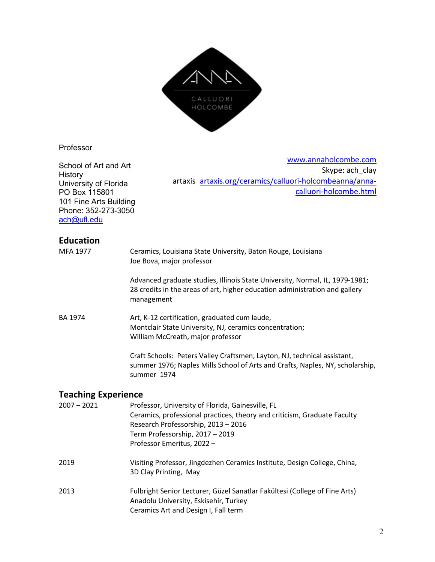

#### Professor

School of Art and Art History University of Florida PO Box 115801 101 Fine Arts Building Phone: 352-273-3050 ach@ufl.edu

www.annaholcombe.com Skype: ach\_clay artaxis artaxis.org/ceramics/calluori-holcombeanna/annacalluori-holcombe.html

### **Education**

| <b>MFA 1977</b>            | Ceramics, Louisiana State University, Baton Rouge, Louisiana<br>Joe Bova, major professor                                                                                                                                             |
|----------------------------|---------------------------------------------------------------------------------------------------------------------------------------------------------------------------------------------------------------------------------------|
|                            | Advanced graduate studies, Illinois State University, Normal, IL, 1979-1981;<br>28 credits in the areas of art, higher education administration and gallery<br>management                                                             |
| <b>BA 1974</b>             | Art, K-12 certification, graduated cum laude,<br>Montclair State University, NJ, ceramics concentration;<br>William McCreath, major professor                                                                                         |
|                            | Craft Schools: Peters Valley Craftsmen, Layton, NJ, technical assistant,<br>summer 1976; Naples Mills School of Arts and Crafts, Naples, NY, scholarship,<br>summer 1974                                                              |
| <b>Teaching Experience</b> |                                                                                                                                                                                                                                       |
| $2007 - 2021$              | Professor, University of Florida, Gainesville, FL<br>Ceramics, professional practices, theory and criticism, Graduate Faculty<br>Research Professorship, 2013 - 2016<br>Term Professorship, 2017 - 2019<br>Professor Emeritus, 2022 - |
| 2019                       | Visiting Professor, Jingdezhen Ceramics Institute, Design College, China,<br>3D Clay Printing, May                                                                                                                                    |
| 2013                       | Fulbright Senior Lecturer, Güzel Sanatlar Fakültesi (College of Fine Arts)<br>Anadolu University, Eskisehir, Turkey<br>Ceramics Art and Design I, Fall term                                                                           |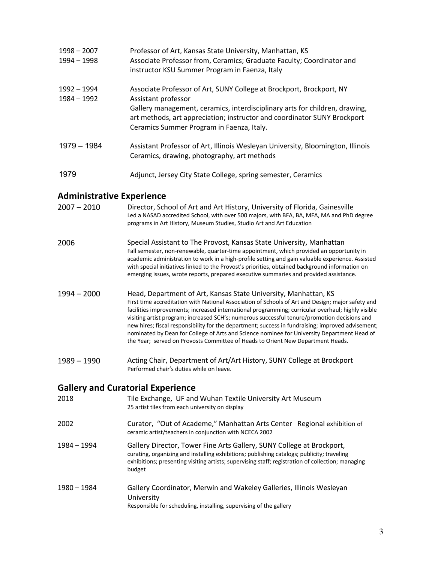| 1998 - 2007<br>1994 - 1998 | Professor of Art, Kansas State University, Manhattan, KS<br>Associate Professor from, Ceramics; Graduate Faculty; Coordinator and<br>instructor KSU Summer Program in Faenza, Italy                  |
|----------------------------|------------------------------------------------------------------------------------------------------------------------------------------------------------------------------------------------------|
| 1992 – 1994<br>1984 - 1992 | Associate Professor of Art, SUNY College at Brockport, Brockport, NY<br>Assistant professor                                                                                                          |
|                            | Gallery management, ceramics, interdisciplinary arts for children, drawing,<br>art methods, art appreciation; instructor and coordinator SUNY Brockport<br>Ceramics Summer Program in Faenza, Italy. |
| $1979 - 1984$              | Assistant Professor of Art, Illinois Wesleyan University, Bloomington, Illinois<br>Ceramics, drawing, photography, art methods                                                                       |
| 1979                       | Adjunct, Jersey City State College, spring semester, Ceramics                                                                                                                                        |

# **Administrative Experience**

| $2007 - 2010$ | Director, School of Art and Art History, University of Florida, Gainesville<br>Led a NASAD accredited School, with over 500 majors, with BFA, BA, MFA, MA and PhD degree<br>programs in Art History, Museum Studies, Studio Art and Art Education                                                                                                                                                                                                                                                                                                                                                                                                                |
|---------------|------------------------------------------------------------------------------------------------------------------------------------------------------------------------------------------------------------------------------------------------------------------------------------------------------------------------------------------------------------------------------------------------------------------------------------------------------------------------------------------------------------------------------------------------------------------------------------------------------------------------------------------------------------------|
| 2006          | Special Assistant to The Provost, Kansas State University, Manhattan<br>Fall semester, non-renewable, quarter-time appointment, which provided an opportunity in<br>academic administration to work in a high-profile setting and gain valuable experience. Assisted<br>with special initiatives linked to the Provost's priorities, obtained background information on<br>emerging issues, wrote reports, prepared executive summaries and provided assistance.                                                                                                                                                                                                 |
| 1994 - 2000   | Head, Department of Art, Kansas State University, Manhattan, KS<br>First time accreditation with National Association of Schools of Art and Design; major safety and<br>facilities improvements; increased international programming; curricular overhaul; highly visible<br>visiting artist program; increased SCH's; numerous successful tenure/promotion decisions and<br>new hires; fiscal responsibility for the department; success in fundraising; improved advisement;<br>nominated by Dean for College of Arts and Science nominee for University Department Head of<br>the Year; served on Provosts Committee of Heads to Orient New Department Heads. |
| $1989 - 1990$ | Acting Chair, Department of Art/Art History, SUNY College at Brockport<br>Performed chair's duties while on leave.                                                                                                                                                                                                                                                                                                                                                                                                                                                                                                                                               |
|               | <b>Gallery and Curatorial Experience</b>                                                                                                                                                                                                                                                                                                                                                                                                                                                                                                                                                                                                                         |
| 2018          | Tile Exchange, UF and Wuhan Textile University Art Museum<br>25 artist tiles from each university on display                                                                                                                                                                                                                                                                                                                                                                                                                                                                                                                                                     |
| 2002          | Curator, "Out of Academe," Manhattan Arts Center Regional exhibition of<br>ceramic artist/teachers in conjunction with NCECA 2002                                                                                                                                                                                                                                                                                                                                                                                                                                                                                                                                |
| 1984 - 1994   | Gallery Director, Tower Fine Arts Gallery, SUNY College at Brockport,<br>curating, organizing and installing exhibitions; publishing catalogs; publicity; traveling<br>exhibitions; presenting visiting artists; supervising staff; registration of collection; managing<br>budget                                                                                                                                                                                                                                                                                                                                                                               |
| 1980 - 1984   | Gallery Coordinator, Merwin and Wakeley Galleries, Illinois Wesleyan<br>University<br>Responsible for scheduling, installing, supervising of the gallery                                                                                                                                                                                                                                                                                                                                                                                                                                                                                                         |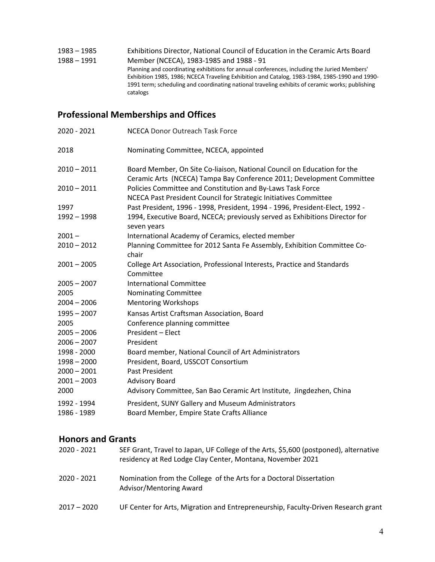| 1983 – 1985 | Exhibitions Director, National Council of Education in the Ceramic Arts Board                                                                                                                                                                                                                               |
|-------------|-------------------------------------------------------------------------------------------------------------------------------------------------------------------------------------------------------------------------------------------------------------------------------------------------------------|
| 1988 – 1991 | Member (NCECA), 1983-1985 and 1988 - 91                                                                                                                                                                                                                                                                     |
|             | Planning and coordinating exhibitions for annual conferences, including the Juried Members'<br>Exhibition 1985, 1986; NCECA Traveling Exhibition and Catalog, 1983-1984, 1985-1990 and 1990-<br>1991 term; scheduling and coordinating national traveling exhibits of ceramic works; publishing<br>catalogs |

# **Professional Memberships and Offices**

| 2020 - 2021   | NCECA Donor Outreach Task Force                                                                                                                  |
|---------------|--------------------------------------------------------------------------------------------------------------------------------------------------|
| 2018          | Nominating Committee, NCECA, appointed                                                                                                           |
| $2010 - 2011$ | Board Member, On Site Co-liaison, National Council on Education for the<br>Ceramic Arts (NCECA) Tampa Bay Conference 2011; Development Committee |
| $2010 - 2011$ | Policies Committee and Constitution and By-Laws Task Force<br>NCECA Past President Council for Strategic Initiatives Committee                   |
| 1997          | Past President, 1996 - 1998, President, 1994 - 1996, President-Elect, 1992 -                                                                     |
| $1992 - 1998$ | 1994, Executive Board, NCECA; previously served as Exhibitions Director for<br>seven years                                                       |
| $2001 -$      | International Academy of Ceramics, elected member                                                                                                |
| $2010 - 2012$ | Planning Committee for 2012 Santa Fe Assembly, Exhibition Committee Co-<br>chair                                                                 |
| $2001 - 2005$ | College Art Association, Professional Interests, Practice and Standards<br>Committee                                                             |
| $2005 - 2007$ | <b>International Committee</b>                                                                                                                   |
| 2005          | Nominating Committee                                                                                                                             |
| $2004 - 2006$ | <b>Mentoring Workshops</b>                                                                                                                       |
| $1995 - 2007$ | Kansas Artist Craftsman Association, Board                                                                                                       |
| 2005          | Conference planning committee                                                                                                                    |
| $2005 - 2006$ | President - Elect                                                                                                                                |
| $2006 - 2007$ | President                                                                                                                                        |
| 1998 - 2000   | Board member, National Council of Art Administrators                                                                                             |
| $1998 - 2000$ | President, Board, USSCOT Consortium                                                                                                              |
| $2000 - 2001$ | Past President                                                                                                                                   |
| $2001 - 2003$ | <b>Advisory Board</b>                                                                                                                            |
| 2000          | Advisory Committee, San Bao Ceramic Art Institute, Jingdezhen, China                                                                             |
| 1992 - 1994   | President, SUNY Gallery and Museum Administrators                                                                                                |
| 1986 - 1989   | Board Member, Empire State Crafts Alliance                                                                                                       |

## **Honors and Grants**

| 2020 - 2021 | SEF Grant, Travel to Japan, UF College of the Arts, \$5,600 (postponed), alternative<br>residency at Red Lodge Clay Center, Montana, November 2021 |
|-------------|----------------------------------------------------------------------------------------------------------------------------------------------------|
| 2020 - 2021 | Nomination from the College of the Arts for a Doctoral Dissertation<br>Advisor/Mentoring Award                                                     |
| 2017 – 2020 | UF Center for Arts, Migration and Entrepreneurship, Faculty-Driven Research grant                                                                  |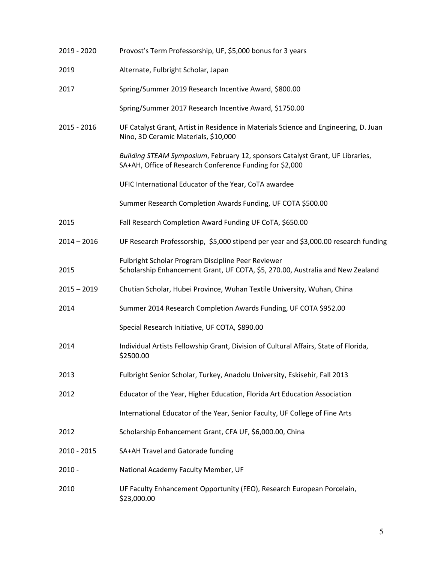| 2019 - 2020   | Provost's Term Professorship, UF, \$5,000 bonus for 3 years                                                                               |
|---------------|-------------------------------------------------------------------------------------------------------------------------------------------|
| 2019          | Alternate, Fulbright Scholar, Japan                                                                                                       |
| 2017          | Spring/Summer 2019 Research Incentive Award, \$800.00                                                                                     |
|               | Spring/Summer 2017 Research Incentive Award, \$1750.00                                                                                    |
| 2015 - 2016   | UF Catalyst Grant, Artist in Residence in Materials Science and Engineering, D. Juan<br>Nino, 3D Ceramic Materials, \$10,000              |
|               | Building STEAM Symposium, February 12, sponsors Catalyst Grant, UF Libraries,<br>SA+AH, Office of Research Conference Funding for \$2,000 |
|               | UFIC International Educator of the Year, CoTA awardee                                                                                     |
|               | Summer Research Completion Awards Funding, UF COTA \$500.00                                                                               |
| 2015          | Fall Research Completion Award Funding UF CoTA, \$650.00                                                                                  |
| $2014 - 2016$ | UF Research Professorship, \$5,000 stipend per year and \$3,000.00 research funding                                                       |
| 2015          | Fulbright Scholar Program Discipline Peer Reviewer<br>Scholarship Enhancement Grant, UF COTA, \$5, 270.00, Australia and New Zealand      |
| $2015 - 2019$ | Chutian Scholar, Hubei Province, Wuhan Textile University, Wuhan, China                                                                   |
| 2014          | Summer 2014 Research Completion Awards Funding, UF COTA \$952.00                                                                          |
|               | Special Research Initiative, UF COTA, \$890.00                                                                                            |
| 2014          | Individual Artists Fellowship Grant, Division of Cultural Affairs, State of Florida,<br>\$2500.00                                         |
| 2013          | Fulbright Senior Scholar, Turkey, Anadolu University, Eskisehir, Fall 2013                                                                |
| 2012          | Educator of the Year, Higher Education, Florida Art Education Association                                                                 |
|               | International Educator of the Year, Senior Faculty, UF College of Fine Arts                                                               |
| 2012          | Scholarship Enhancement Grant, CFA UF, \$6,000.00, China                                                                                  |
| 2010 - 2015   | SA+AH Travel and Gatorade funding                                                                                                         |
| $2010 -$      | National Academy Faculty Member, UF                                                                                                       |
| 2010          | UF Faculty Enhancement Opportunity (FEO), Research European Porcelain,<br>\$23,000.00                                                     |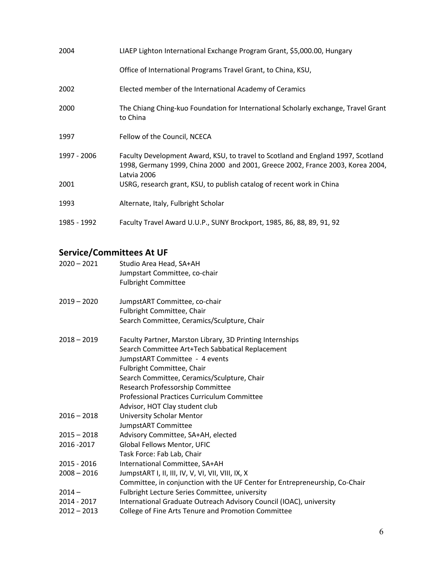| 2004        | LIAEP Lighton International Exchange Program Grant, \$5,000.00, Hungary                                                                                                           |
|-------------|-----------------------------------------------------------------------------------------------------------------------------------------------------------------------------------|
|             | Office of International Programs Travel Grant, to China, KSU,                                                                                                                     |
| 2002        | Elected member of the International Academy of Ceramics                                                                                                                           |
| 2000        | The Chiang Ching-kuo Foundation for International Scholarly exchange, Travel Grant<br>to China                                                                                    |
| 1997        | Fellow of the Council, NCECA                                                                                                                                                      |
| 1997 - 2006 | Faculty Development Award, KSU, to travel to Scotland and England 1997, Scotland<br>1998, Germany 1999, China 2000 and 2001, Greece 2002, France 2003, Korea 2004,<br>Latvia 2006 |
| 2001        | USRG, research grant, KSU, to publish catalog of recent work in China                                                                                                             |
| 1993        | Alternate, Italy, Fulbright Scholar                                                                                                                                               |
| 1985 - 1992 | Faculty Travel Award U.U.P., SUNY Brockport, 1985, 86, 88, 89, 91, 92                                                                                                             |

# **Service/Committees At UF**

| $2020 - 2021$ | Studio Area Head, SA+AH<br>Jumpstart Committee, co-chair<br><b>Fulbright Committee</b>                                           |
|---------------|----------------------------------------------------------------------------------------------------------------------------------|
| $2019 - 2020$ | JumpstART Committee, co-chair                                                                                                    |
|               | Fulbright Committee, Chair<br>Search Committee, Ceramics/Sculpture, Chair                                                        |
|               |                                                                                                                                  |
| $2018 - 2019$ | Faculty Partner, Marston Library, 3D Printing Internships                                                                        |
|               | Search Committee Art+Tech Sabbatical Replacement                                                                                 |
|               | JumpstART Committee - 4 events                                                                                                   |
|               | Fulbright Committee, Chair                                                                                                       |
|               | Search Committee, Ceramics/Sculpture, Chair                                                                                      |
|               | Research Professorship Committee                                                                                                 |
|               | <b>Professional Practices Curriculum Committee</b>                                                                               |
|               | Advisor, HOT Clay student club                                                                                                   |
| $2016 - 2018$ | <b>University Scholar Mentor</b>                                                                                                 |
|               | JumpstART Committee                                                                                                              |
| $2015 - 2018$ | Advisory Committee, SA+AH, elected                                                                                               |
| 2016 - 2017   | Global Fellows Mentor, UFIC                                                                                                      |
|               | Task Force: Fab Lab, Chair                                                                                                       |
| 2015 - 2016   | International Committee, SA+AH                                                                                                   |
| $2008 - 2016$ | JumpstART I, II, III, IV, V, VI, VII, VIII, IX, X<br>Committee, in conjunction with the UF Center for Entrepreneurship, Co-Chair |
| $2014 -$      | Fulbright Lecture Series Committee, university                                                                                   |
| 2014 - 2017   | International Graduate Outreach Advisory Council (IOAC), university                                                              |
| $2012 - 2013$ | College of Fine Arts Tenure and Promotion Committee                                                                              |
|               |                                                                                                                                  |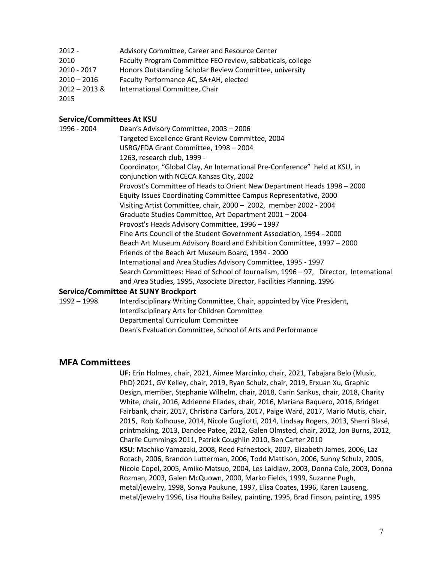| 2012 - | Advisory Committee, Career and Resource Center             |
|--------|------------------------------------------------------------|
| 2010   | Faculty Program Committee FEO review, sabbaticals, college |

- 2010 2017 Honors Outstanding Scholar Review Committee, university
- 2010 2016 Faculty Performance AC, SA+AH, elected
- 2012 2013 & International Committee, Chair

2015

#### **Service/Committees At KSU**

1996 - 2004 Dean's Advisory Committee, 2003 – 2006 Targeted Excellence Grant Review Committee, 2004 USRG/FDA Grant Committee, 1998 – 2004 1263, research club, 1999 - Coordinator, "Global Clay, An International Pre-Conference" held at KSU, in conjunction with NCECA Kansas City, 2002 Provost's Committee of Heads to Orient New Department Heads 1998 – 2000 Equity Issues Coordinating Committee Campus Representative, 2000 Visiting Artist Committee, chair, 2000 – 2002, member 2002 - 2004 Graduate Studies Committee, Art Department 2001 – 2004 Provost's Heads Advisory Committee, 1996 – 1997 Fine Arts Council of the Student Government Association, 1994 - 2000 Beach Art Museum Advisory Board and Exhibition Committee, 1997 – 2000 Friends of the Beach Art Museum Board, 1994 - 2000 International and Area Studies Advisory Committee, 1995 - 1997 Search Committees: Head of School of Journalism, 1996 – 97, Director, International and Area Studies, 1995, Associate Director, Facilities Planning, 1996

#### **Service/Committee At SUNY Brockport**

1992 – 1998 Interdisciplinary Writing Committee, Chair, appointed by Vice President, Interdisciplinary Arts for Children Committee Departmental Curriculum Committee Dean's Evaluation Committee, School of Arts and Performance

#### **MFA Committees**

**UF:** Erin Holmes, chair, 2021, Aimee Marcinko, chair, 2021, Tabajara Belo (Music, PhD) 2021, GV Kelley, chair, 2019, Ryan Schulz, chair, 2019, Erxuan Xu, Graphic Design, member, Stephanie Wilhelm, chair, 2018, Carin Sankus, chair, 2018, Charity White, chair, 2016, Adrienne Eliades, chair, 2016, Mariana Baquero, 2016, Bridget Fairbank, chair, 2017, Christina Carfora, 2017, Paige Ward, 2017, Mario Mutis, chair, 2015, Rob Kolhouse, 2014, Nicole Gugliotti, 2014, Lindsay Rogers, 2013, Sherri Blasé, printmaking, 2013, Dandee Patee, 2012, Galen Olmsted, chair, 2012, Jon Burns, 2012, Charlie Cummings 2011, Patrick Coughlin 2010, Ben Carter 2010 **KSU:** Machiko Yamazaki, 2008, Reed Fafnestock, 2007, Elizabeth James, 2006, Laz Rotach, 2006, Brandon Lutterman, 2006, Todd Mattison, 2006, Sunny Schulz, 2006, Nicole Copel, 2005, Amiko Matsuo, 2004, Les Laidlaw, 2003, Donna Cole, 2003, Donna Rozman, 2003, Galen McQuown, 2000, Marko Fields, 1999, Suzanne Pugh, metal/jewelry, 1998, Sonya Paukune, 1997, Elisa Coates, 1996, Karen Lauseng, metal/jewelry 1996, Lisa Houha Bailey, painting, 1995, Brad Finson, painting, 1995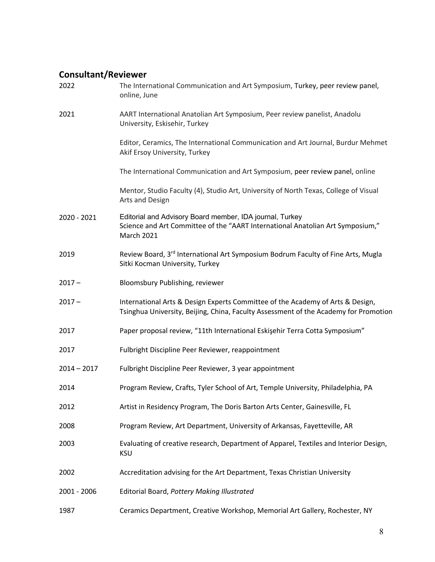## **Consultant/Reviewer**

| 2022          | The International Communication and Art Symposium, Turkey, peer review panel,<br>online, June                                                                          |
|---------------|------------------------------------------------------------------------------------------------------------------------------------------------------------------------|
| 2021          | AART International Anatolian Art Symposium, Peer review panelist, Anadolu<br>University, Eskisehir, Turkey                                                             |
|               | Editor, Ceramics, The International Communication and Art Journal, Burdur Mehmet<br>Akif Ersoy University, Turkey                                                      |
|               | The International Communication and Art Symposium, peer review panel, online                                                                                           |
|               | Mentor, Studio Faculty (4), Studio Art, University of North Texas, College of Visual<br>Arts and Design                                                                |
| 2020 - 2021   | Editorial and Advisory Board member, IDA journal, Turkey<br>Science and Art Committee of the "AART International Anatolian Art Symposium,"<br><b>March 2021</b>        |
| 2019          | Review Board, 3rd International Art Symposium Bodrum Faculty of Fine Arts, Mugla<br>Sitki Kocman University, Turkey                                                    |
| $2017 -$      | Bloomsbury Publishing, reviewer                                                                                                                                        |
| $2017 -$      | International Arts & Design Experts Committee of the Academy of Arts & Design,<br>Tsinghua University, Beijing, China, Faculty Assessment of the Academy for Promotion |
| 2017          | Paper proposal review, "11th International Eskişehir Terra Cotta Symposium"                                                                                            |
| 2017          | Fulbright Discipline Peer Reviewer, reappointment                                                                                                                      |
| $2014 - 2017$ | Fulbright Discipline Peer Reviewer, 3 year appointment                                                                                                                 |
| 2014          | Program Review, Crafts, Tyler School of Art, Temple University, Philadelphia, PA                                                                                       |
| 2012          | Artist in Residency Program, The Doris Barton Arts Center, Gainesville, FL                                                                                             |
| 2008          | Program Review, Art Department, University of Arkansas, Fayetteville, AR                                                                                               |
| 2003          | Evaluating of creative research, Department of Apparel, Textiles and Interior Design,<br><b>KSU</b>                                                                    |
| 2002          | Accreditation advising for the Art Department, Texas Christian University                                                                                              |
| 2001 - 2006   | Editorial Board, Pottery Making Illustrated                                                                                                                            |
| 1987          | Ceramics Department, Creative Workshop, Memorial Art Gallery, Rochester, NY                                                                                            |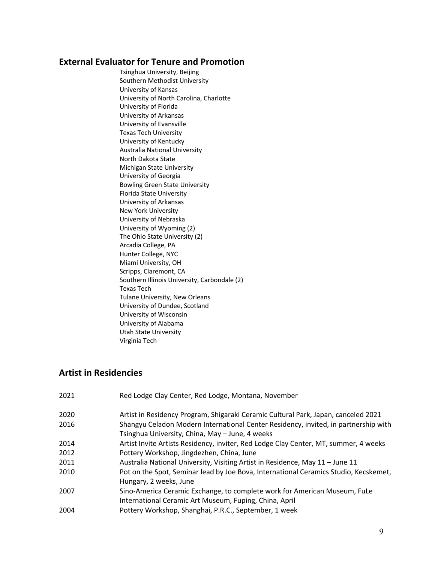### **External Evaluator for Tenure and Promotion**

Tsinghua University, Beijing Southern Methodist University University of Kansas University of North Carolina, Charlotte University of Florida University of Arkansas University of Evansville Texas Tech University University of Kentucky Australia National University North Dakota State Michigan State University University of Georgia Bowling Green State University Florida State University University of Arkansas New York University University of Nebraska University of Wyoming (2) The Ohio State University (2) Arcadia College, PA Hunter College, NYC Miami University, OH Scripps, Claremont, CA Southern Illinois University, Carbondale (2) Texas Tech Tulane University, New Orleans University of Dundee, Scotland University of Wisconsin University of Alabama Utah State University Virginia Tech

### **Artist in Residencies**

| 2021 | Red Lodge Clay Center, Red Lodge, Montana, November                                                                                    |
|------|----------------------------------------------------------------------------------------------------------------------------------------|
| 2020 | Artist in Residency Program, Shigaraki Ceramic Cultural Park, Japan, canceled 2021                                                     |
| 2016 | Shangyu Celadon Modern International Center Residency, invited, in partnership with<br>Tsinghua University, China, May - June, 4 weeks |
| 2014 | Artist Invite Artists Residency, inviter, Red Lodge Clay Center, MT, summer, 4 weeks                                                   |
| 2012 | Pottery Workshop, Jingdezhen, China, June                                                                                              |
| 2011 | Australia National University, Visiting Artist in Residence, May 11 - June 11                                                          |
| 2010 | Pot on the Spot, Seminar lead by Joe Bova, International Ceramics Studio, Kecskemet,<br>Hungary, 2 weeks, June                         |
| 2007 | Sino-America Ceramic Exchange, to complete work for American Museum, FuLe<br>International Ceramic Art Museum, Fuping, China, April    |
| 2004 | Pottery Workshop, Shanghai, P.R.C., September, 1 week                                                                                  |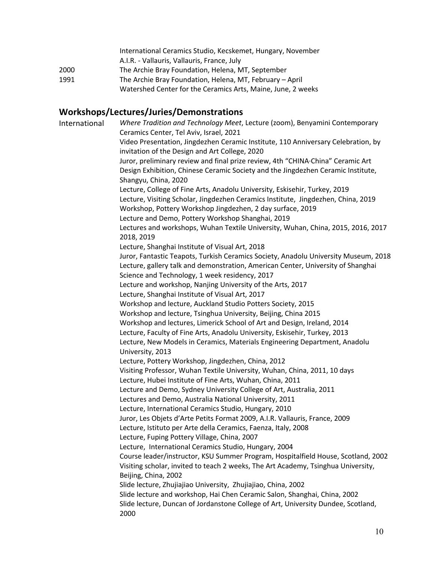|      | International Ceramics Studio, Kecskemet, Hungary, November  |
|------|--------------------------------------------------------------|
|      | A.I.R. - Vallauris, Vallauris, France, July                  |
| 2000 | The Archie Bray Foundation, Helena, MT, September            |
| 1991 | The Archie Bray Foundation, Helena, MT, February - April     |
|      | Watershed Center for the Ceramics Arts, Maine, June, 2 weeks |
|      |                                                              |

## **Workshops/Lectures/Juries/Demonstrations**

| . <b>.</b>    |                                                                                                                                                                        |
|---------------|------------------------------------------------------------------------------------------------------------------------------------------------------------------------|
| International | Where Tradition and Technology Meet, Lecture (zoom), Benyamini Contemporary                                                                                            |
|               | Ceramics Center, Tel Aviv, Israel, 2021                                                                                                                                |
|               | Video Presentation, Jingdezhen Ceramic Institute, 110 Anniversary Celebration, by<br>invitation of the Design and Art College, 2020                                    |
|               | Juror, preliminary review and final prize review, 4th "CHINA·China" Ceramic Art                                                                                        |
|               | Design Exhibition, Chinese Ceramic Society and the Jingdezhen Ceramic Institute,                                                                                       |
|               | Shangyu, China, 2020                                                                                                                                                   |
|               | Lecture, College of Fine Arts, Anadolu University, Eskisehir, Turkey, 2019                                                                                             |
|               | Lecture, Visiting Scholar, Jingdezhen Ceramics Institute, Jingdezhen, China, 2019<br>Workshop, Pottery Workshop Jingdezhen, 2 day surface, 2019                        |
|               | Lecture and Demo, Pottery Workshop Shanghai, 2019                                                                                                                      |
|               | Lectures and workshops, Wuhan Textile University, Wuhan, China, 2015, 2016, 2017<br>2018, 2019                                                                         |
|               | Lecture, Shanghai Institute of Visual Art, 2018                                                                                                                        |
|               | Juror, Fantastic Teapots, Turkish Ceramics Society, Anadolu University Museum, 2018                                                                                    |
|               | Lecture, gallery talk and demonstration, American Center, University of Shanghai                                                                                       |
|               | Science and Technology, 1 week residency, 2017                                                                                                                         |
|               | Lecture and workshop, Nanjing University of the Arts, 2017                                                                                                             |
|               | Lecture, Shanghai Institute of Visual Art, 2017                                                                                                                        |
|               | Workshop and lecture, Auckland Studio Potters Society, 2015                                                                                                            |
|               | Workshop and lecture, Tsinghua University, Beijing, China 2015                                                                                                         |
|               | Workshop and lectures, Limerick School of Art and Design, Ireland, 2014                                                                                                |
|               | Lecture, Faculty of Fine Arts, Anadolu University, Eskisehir, Turkey, 2013                                                                                             |
|               | Lecture, New Models in Ceramics, Materials Engineering Department, Anadolu<br>University, 2013                                                                         |
|               | Lecture, Pottery Workshop, Jingdezhen, China, 2012                                                                                                                     |
|               | Visiting Professor, Wuhan Textile University, Wuhan, China, 2011, 10 days                                                                                              |
|               | Lecture, Hubei Institute of Fine Arts, Wuhan, China, 2011                                                                                                              |
|               | Lecture and Demo, Sydney University College of Art, Australia, 2011                                                                                                    |
|               | Lectures and Demo, Australia National University, 2011                                                                                                                 |
|               | Lecture, International Ceramics Studio, Hungary, 2010                                                                                                                  |
|               | Juror, Les Objets d'Arte Petits Format 2009, A.I.R. Vallauris, France, 2009                                                                                            |
|               | Lecture, Istituto per Arte della Ceramics, Faenza, Italy, 2008                                                                                                         |
|               | Lecture, Fuping Pottery Village, China, 2007                                                                                                                           |
|               | Lecture, International Ceramics Studio, Hungary, 2004                                                                                                                  |
|               |                                                                                                                                                                        |
|               | Course leader/instructor, KSU Summer Program, Hospitalfield House, Scotland, 2002<br>Visiting scholar, invited to teach 2 weeks, The Art Academy, Tsinghua University, |
|               | Beijing, China, 2002                                                                                                                                                   |
|               | Slide lecture, Zhujiajiao University, Zhujiajiao, China, 2002                                                                                                          |
|               | Slide lecture and workshop, Hai Chen Ceramic Salon, Shanghai, China, 2002                                                                                              |
|               | Slide lecture, Duncan of Jordanstone College of Art, University Dundee, Scotland,<br>2000                                                                              |
|               |                                                                                                                                                                        |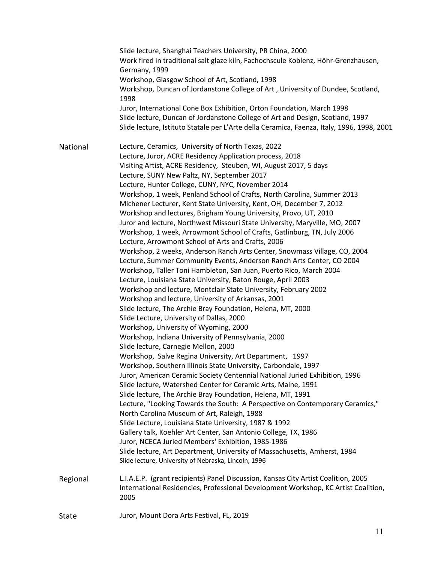|          | Slide lecture, Shanghai Teachers University, PR China, 2000<br>Work fired in traditional salt glaze kiln, Fachochscule Koblenz, Höhr-Grenzhausen,<br>Germany, 1999<br>Workshop, Glasgow School of Art, Scotland, 1998<br>Workshop, Duncan of Jordanstone College of Art, University of Dundee, Scotland,<br>1998<br>Juror, International Cone Box Exhibition, Orton Foundation, March 1998<br>Slide lecture, Duncan of Jordanstone College of Art and Design, Scotland, 1997<br>Slide lecture, Istituto Statale per L'Arte della Ceramica, Faenza, Italy, 1996, 1998, 2001                                                                                                                                                                                                                                                                                                                                                                                                                                                                                                                                                                                                                                                                                                                                                                                                                                                                                                                                                                                                                                                                                                                                                                                                                                                                                                                                                                                                                                                                                                                                                                                                                                 |
|----------|------------------------------------------------------------------------------------------------------------------------------------------------------------------------------------------------------------------------------------------------------------------------------------------------------------------------------------------------------------------------------------------------------------------------------------------------------------------------------------------------------------------------------------------------------------------------------------------------------------------------------------------------------------------------------------------------------------------------------------------------------------------------------------------------------------------------------------------------------------------------------------------------------------------------------------------------------------------------------------------------------------------------------------------------------------------------------------------------------------------------------------------------------------------------------------------------------------------------------------------------------------------------------------------------------------------------------------------------------------------------------------------------------------------------------------------------------------------------------------------------------------------------------------------------------------------------------------------------------------------------------------------------------------------------------------------------------------------------------------------------------------------------------------------------------------------------------------------------------------------------------------------------------------------------------------------------------------------------------------------------------------------------------------------------------------------------------------------------------------------------------------------------------------------------------------------------------------|
| National | Lecture, Ceramics, University of North Texas, 2022<br>Lecture, Juror, ACRE Residency Application process, 2018<br>Visiting Artist, ACRE Residency, Steuben, WI, August 2017, 5 days<br>Lecture, SUNY New Paltz, NY, September 2017<br>Lecture, Hunter College, CUNY, NYC, November 2014<br>Workshop, 1 week, Penland School of Crafts, North Carolina, Summer 2013<br>Michener Lecturer, Kent State University, Kent, OH, December 7, 2012<br>Workshop and lectures, Brigham Young University, Provo, UT, 2010<br>Juror and lecture, Northwest Missouri State University, Maryville, MO, 2007<br>Workshop, 1 week, Arrowmont School of Crafts, Gatlinburg, TN, July 2006<br>Lecture, Arrowmont School of Arts and Crafts, 2006<br>Workshop, 2 weeks, Anderson Ranch Arts Center, Snowmass Village, CO, 2004<br>Lecture, Summer Community Events, Anderson Ranch Arts Center, CO 2004<br>Workshop, Taller Toni Hambleton, San Juan, Puerto Rico, March 2004<br>Lecture, Louisiana State University, Baton Rouge, April 2003<br>Workshop and lecture, Montclair State University, February 2002<br>Workshop and lecture, University of Arkansas, 2001<br>Slide lecture, The Archie Bray Foundation, Helena, MT, 2000<br>Slide Lecture, University of Dallas, 2000<br>Workshop, University of Wyoming, 2000<br>Workshop, Indiana University of Pennsylvania, 2000<br>Slide lecture, Carnegie Mellon, 2000<br>Workshop, Salve Regina University, Art Department, 1997<br>Workshop, Southern Illinois State University, Carbondale, 1997<br>Juror, American Ceramic Society Centennial National Juried Exhibition, 1996<br>Slide lecture, Watershed Center for Ceramic Arts, Maine, 1991<br>Slide lecture, The Archie Bray Foundation, Helena, MT, 1991<br>Lecture, "Looking Towards the South: A Perspective on Contemporary Ceramics,"<br>North Carolina Museum of Art, Raleigh, 1988<br>Slide Lecture, Louisiana State University, 1987 & 1992<br>Gallery talk, Koehler Art Center, San Antonio College, TX, 1986<br>Juror, NCECA Juried Members' Exhibition, 1985-1986<br>Slide lecture, Art Department, University of Massachusetts, Amherst, 1984<br>Slide lecture, University of Nebraska, Lincoln, 1996 |
| Regional | L.I.A.E.P. (grant recipients) Panel Discussion, Kansas City Artist Coalition, 2005<br>International Residencies, Professional Development Workshop, KC Artist Coalition,<br>2005                                                                                                                                                                                                                                                                                                                                                                                                                                                                                                                                                                                                                                                                                                                                                                                                                                                                                                                                                                                                                                                                                                                                                                                                                                                                                                                                                                                                                                                                                                                                                                                                                                                                                                                                                                                                                                                                                                                                                                                                                           |
| State    | Juror, Mount Dora Arts Festival, FL, 2019                                                                                                                                                                                                                                                                                                                                                                                                                                                                                                                                                                                                                                                                                                                                                                                                                                                                                                                                                                                                                                                                                                                                                                                                                                                                                                                                                                                                                                                                                                                                                                                                                                                                                                                                                                                                                                                                                                                                                                                                                                                                                                                                                                  |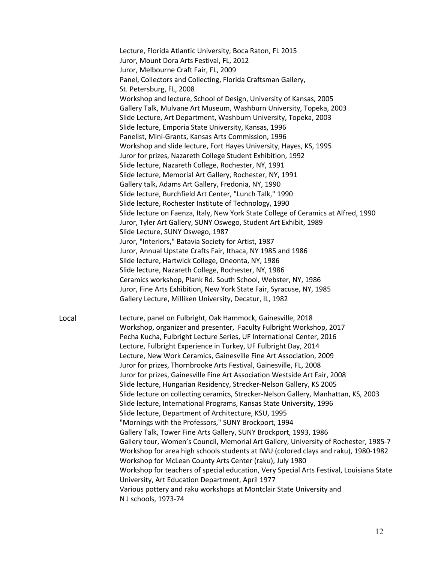Lecture, Florida Atlantic University, Boca Raton, FL 2015 Juror, Mount Dora Arts Festival, FL, 2012 Juror, Melbourne Craft Fair, FL, 2009 Panel, Collectors and Collecting, Florida Craftsman Gallery, St. Petersburg, FL, 2008 Workshop and lecture, School of Design, University of Kansas, 2005 Gallery Talk, Mulvane Art Museum, Washburn University, Topeka, 2003 Slide Lecture, Art Department, Washburn University, Topeka, 2003 Slide lecture, Emporia State University, Kansas, 1996 Panelist, Mini-Grants, Kansas Arts Commission, 1996 Workshop and slide lecture, Fort Hayes University, Hayes, KS, 1995 Juror for prizes, Nazareth College Student Exhibition, 1992 Slide lecture, Nazareth College, Rochester, NY, 1991 Slide lecture, Memorial Art Gallery, Rochester, NY, 1991 Gallery talk, Adams Art Gallery, Fredonia, NY, 1990 Slide lecture, Burchfield Art Center, "Lunch Talk," 1990 Slide lecture, Rochester Institute of Technology, 1990 Slide lecture on Faenza, Italy, New York State College of Ceramics at Alfred, 1990 Juror, Tyler Art Gallery, SUNY Oswego, Student Art Exhibit, 1989 Slide Lecture, SUNY Oswego, 1987 Juror, "Interiors," Batavia Society for Artist, 1987 Juror, Annual Upstate Crafts Fair, Ithaca, NY 1985 and 1986 Slide lecture, Hartwick College, Oneonta, NY, 1986 Slide lecture, Nazareth College, Rochester, NY, 1986 Ceramics workshop, Plank Rd. South School, Webster, NY, 1986 Juror, Fine Arts Exhibition, New York State Fair, Syracuse, NY, 1985 Gallery Lecture, Milliken University, Decatur, IL, 1982 Local Lecture, panel on Fulbright, Oak Hammock, Gainesville, 2018 Workshop, organizer and presenter, Faculty Fulbright Workshop, 2017 Pecha Kucha, Fulbright Lecture Series, UF International Center, 2016 Lecture, Fulbright Experience in Turkey, UF Fulbright Day, 2014 Lecture, New Work Ceramics, Gainesville Fine Art Association, 2009 Juror for prizes, Thornbrooke Arts Festival, Gainesville, FL, 2008 Juror for prizes, Gainesville Fine Art Association Westside Art Fair, 2008 Slide lecture, Hungarian Residency, Strecker-Nelson Gallery, KS 2005 Slide lecture on collecting ceramics, Strecker-Nelson Gallery, Manhattan, KS, 2003 Slide lecture, International Programs, Kansas State University, 1996

> Slide lecture, Department of Architecture, KSU, 1995 "Mornings with the Professors," SUNY Brockport, 1994

University, Art Education Department, April 1977

N J schools, 1973-74

Gallery Talk, Tower Fine Arts Gallery, SUNY Brockport, 1993, 1986

Various pottery and raku workshops at Montclair State University and

Workshop for McLean County Arts Center (raku), July 1980

Gallery tour, Women's Council, Memorial Art Gallery, University of Rochester, 1985-7 Workshop for area high schools students at IWU (colored clays and raku), 1980-1982

Workshop for teachers of special education, Very Special Arts Festival, Louisiana State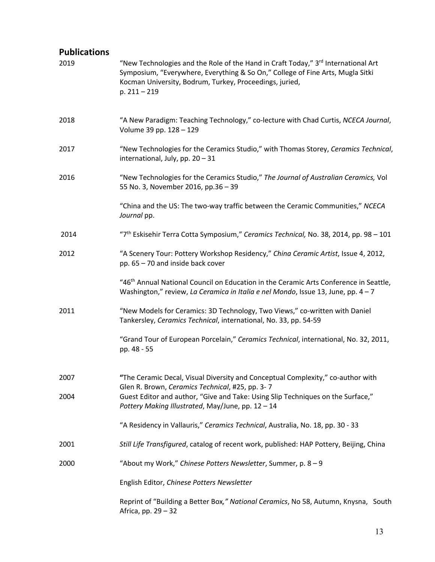## **Publications**

| 2019 | "New Technologies and the Role of the Hand in Craft Today," $3^{rd}$ International Art<br>Symposium, "Everywhere, Everything & So On," College of Fine Arts, Mugla Sitki<br>Kocman University, Bodrum, Turkey, Proceedings, juried,<br>$p. 211 - 219$ |
|------|-------------------------------------------------------------------------------------------------------------------------------------------------------------------------------------------------------------------------------------------------------|
| 2018 | "A New Paradigm: Teaching Technology," co-lecture with Chad Curtis, NCECA Journal,<br>Volume 39 pp. 128 - 129                                                                                                                                         |
| 2017 | "New Technologies for the Ceramics Studio," with Thomas Storey, Ceramics Technical,<br>international, July, pp. 20 - 31                                                                                                                               |
| 2016 | "New Technologies for the Ceramics Studio," The Journal of Australian Ceramics, Vol<br>55 No. 3, November 2016, pp.36 - 39                                                                                                                            |
|      | "China and the US: The two-way traffic between the Ceramic Communities," NCECA<br>Journal pp.                                                                                                                                                         |
| 2014 | "7 <sup>th</sup> Eskisehir Terra Cotta Symposium," Ceramics Technical, No. 38, 2014, pp. 98 - 101                                                                                                                                                     |
| 2012 | "A Scenery Tour: Pottery Workshop Residency," China Ceramic Artist, Issue 4, 2012,<br>pp. 65 - 70 and inside back cover                                                                                                                               |
|      | "46 <sup>th</sup> Annual National Council on Education in the Ceramic Arts Conference in Seattle,<br>Washington," review, La Ceramica in Italia e nel Mondo, Issue 13, June, pp. 4-7                                                                  |
| 2011 | "New Models for Ceramics: 3D Technology, Two Views," co-written with Daniel<br>Tankersley, Ceramics Technical, international, No. 33, pp. 54-59                                                                                                       |
|      | "Grand Tour of European Porcelain," Ceramics Technical, international, No. 32, 2011,<br>pp. 48 - 55                                                                                                                                                   |
| 2007 | "The Ceramic Decal, Visual Diversity and Conceptual Complexity," co-author with<br>Glen R. Brown, Ceramics Technical, #25, pp. 3-7                                                                                                                    |
| 2004 | Guest Editor and author, "Give and Take: Using Slip Techniques on the Surface,"<br>Pottery Making Illustrated, May/June, pp. 12 - 14                                                                                                                  |
|      | "A Residency in Vallauris," Ceramics Technical, Australia, No. 18, pp. 30 - 33                                                                                                                                                                        |
| 2001 | Still Life Transfigured, catalog of recent work, published: HAP Pottery, Beijing, China                                                                                                                                                               |
| 2000 | "About my Work," Chinese Potters Newsletter, Summer, p. 8 - 9                                                                                                                                                                                         |
|      | English Editor, Chinese Potters Newsletter                                                                                                                                                                                                            |
|      | Reprint of "Building a Better Box," National Ceramics, No 58, Autumn, Knysna, South<br>Africa, pp. 29 - 32                                                                                                                                            |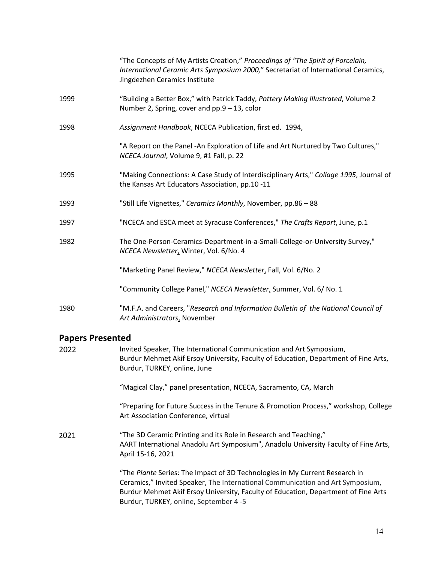|      | "The Concepts of My Artists Creation," Proceedings of "The Spirit of Porcelain,<br>International Ceramic Arts Symposium 2000," Secretariat of International Ceramics,<br>Jingdezhen Ceramics Institute |
|------|--------------------------------------------------------------------------------------------------------------------------------------------------------------------------------------------------------|
| 1999 | "Building a Better Box," with Patrick Taddy, Pottery Making Illustrated, Volume 2<br>Number 2, Spring, cover and pp.9 - 13, color                                                                      |
| 1998 | Assignment Handbook, NCECA Publication, first ed. 1994,                                                                                                                                                |
|      | "A Report on the Panel -An Exploration of Life and Art Nurtured by Two Cultures,"<br>NCECA Journal, Volume 9, #1 Fall, p. 22                                                                           |
| 1995 | "Making Connections: A Case Study of Interdisciplinary Arts," Collage 1995, Journal of<br>the Kansas Art Educators Association, pp.10-11                                                               |
| 1993 | "Still Life Vignettes," Ceramics Monthly, November, pp.86 - 88                                                                                                                                         |
| 1997 | "NCECA and ESCA meet at Syracuse Conferences," The Crafts Report, June, p.1                                                                                                                            |
| 1982 | The One-Person-Ceramics-Department-in-a-Small-College-or-University Survey,"<br>NCECA Newsletter, Winter, Vol. 6/No. 4                                                                                 |
|      | "Marketing Panel Review," NCECA Newsletter, Fall, Vol. 6/No. 2                                                                                                                                         |
|      | "Community College Panel," NCECA Newsletter, Summer, Vol. 6/ No. 1                                                                                                                                     |
| 1980 | "M.F.A. and Careers, "Research and Information Bulletin of the National Council of<br>Art Administrators, November                                                                                     |
|      |                                                                                                                                                                                                        |

## **Papers Presented**

| 2022 | Invited Speaker, The International Communication and Art Symposium,<br>Burdur Mehmet Akif Ersoy University, Faculty of Education, Department of Fine Arts,<br>Burdur, TURKEY, online, June                                                                                                   |
|------|----------------------------------------------------------------------------------------------------------------------------------------------------------------------------------------------------------------------------------------------------------------------------------------------|
|      | "Magical Clay," panel presentation, NCECA, Sacramento, CA, March                                                                                                                                                                                                                             |
|      | "Preparing for Future Success in the Tenure & Promotion Process," workshop, College<br>Art Association Conference, virtual                                                                                                                                                                   |
| 2021 | "The 3D Ceramic Printing and its Role in Research and Teaching,"<br>AART International Anadolu Art Symposium", Anadolu University Faculty of Fine Arts,<br>April 15-16, 2021                                                                                                                 |
|      | "The Piante Series: The Impact of 3D Technologies in My Current Research in<br>Ceramics," Invited Speaker, The International Communication and Art Symposium,<br>Burdur Mehmet Akif Ersoy University, Faculty of Education, Department of Fine Arts<br>Burdur, TURKEY, online, September 4-5 |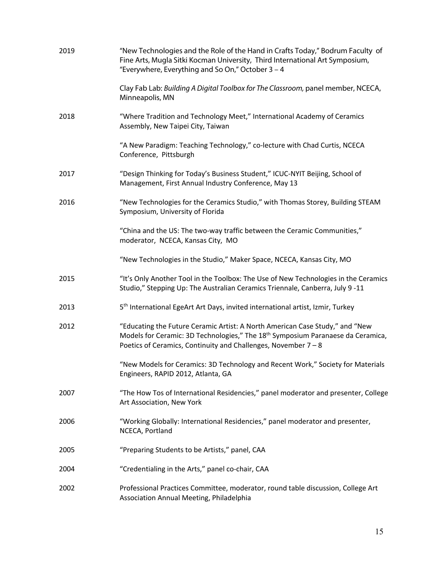| 2019 | "New Technologies and the Role of the Hand in Crafts Today," Bodrum Faculty of<br>Fine Arts, Mugla Sitki Kocman University, Third International Art Symposium,<br>"Everywhere, Everything and So On," October 3 - 4                           |
|------|-----------------------------------------------------------------------------------------------------------------------------------------------------------------------------------------------------------------------------------------------|
|      | Clay Fab Lab: Building A Digital Toolbox for The Classroom, panel member, NCECA,<br>Minneapolis, MN                                                                                                                                           |
| 2018 | "Where Tradition and Technology Meet," International Academy of Ceramics<br>Assembly, New Taipei City, Taiwan                                                                                                                                 |
|      | "A New Paradigm: Teaching Technology," co-lecture with Chad Curtis, NCECA<br>Conference, Pittsburgh                                                                                                                                           |
| 2017 | "Design Thinking for Today's Business Student," ICUC-NYIT Beijing, School of<br>Management, First Annual Industry Conference, May 13                                                                                                          |
| 2016 | "New Technologies for the Ceramics Studio," with Thomas Storey, Building STEAM<br>Symposium, University of Florida                                                                                                                            |
|      | "China and the US: The two-way traffic between the Ceramic Communities,"<br>moderator, NCECA, Kansas City, MO                                                                                                                                 |
|      | "New Technologies in the Studio," Maker Space, NCECA, Kansas City, MO                                                                                                                                                                         |
| 2015 | "It's Only Another Tool in the Toolbox: The Use of New Technologies in the Ceramics<br>Studio," Stepping Up: The Australian Ceramics Triennale, Canberra, July 9-11                                                                           |
| 2013 | 5 <sup>th</sup> International EgeArt Art Days, invited international artist, Izmir, Turkey                                                                                                                                                    |
| 2012 | "Educating the Future Ceramic Artist: A North American Case Study," and "New<br>Models for Ceramic: 3D Technologies," The 18 <sup>th</sup> Symposium Paranaese da Ceramica,<br>Poetics of Ceramics, Continuity and Challenges, November 7 - 8 |
|      | "New Models for Ceramics: 3D Technology and Recent Work," Society for Materials<br>Engineers, RAPID 2012, Atlanta, GA                                                                                                                         |
| 2007 | "The How Tos of International Residencies," panel moderator and presenter, College<br>Art Association, New York                                                                                                                               |
| 2006 | "Working Globally: International Residencies," panel moderator and presenter,<br>NCECA, Portland                                                                                                                                              |
| 2005 | "Preparing Students to be Artists," panel, CAA                                                                                                                                                                                                |
| 2004 | "Credentialing in the Arts," panel co-chair, CAA                                                                                                                                                                                              |
| 2002 | Professional Practices Committee, moderator, round table discussion, College Art<br>Association Annual Meeting, Philadelphia                                                                                                                  |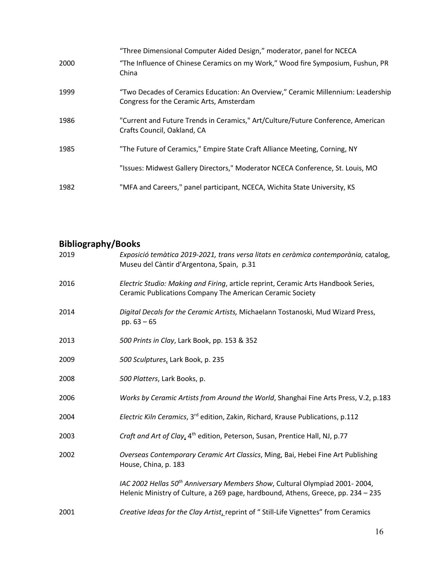|      | "Three Dimensional Computer Aided Design," moderator, panel for NCECA                                                        |
|------|------------------------------------------------------------------------------------------------------------------------------|
| 2000 | "The Influence of Chinese Ceramics on my Work," Wood fire Symposium, Fushun, PR<br>China                                     |
| 1999 | "Two Decades of Ceramics Education: An Overview," Ceramic Millennium: Leadership<br>Congress for the Ceramic Arts, Amsterdam |
| 1986 | "Current and Future Trends in Ceramics," Art/Culture/Future Conference, American<br>Crafts Council, Oakland, CA              |
| 1985 | "The Future of Ceramics," Empire State Craft Alliance Meeting, Corning, NY                                                   |
|      | "Issues: Midwest Gallery Directors," Moderator NCECA Conference, St. Louis, MO                                               |
| 1982 | "MFA and Careers," panel participant, NCECA, Wichita State University, KS                                                    |

# **Bibliography/Books**

| 2019 | Exposició temàtica 2019-2021, trans versa litats en ceràmica contemporània, catalog,<br>Museu del Càntir d'Argentona, Spain, p.31                                            |
|------|------------------------------------------------------------------------------------------------------------------------------------------------------------------------------|
| 2016 | Electric Studio: Making and Firing, article reprint, Ceramic Arts Handbook Series,<br>Ceramic Publications Company The American Ceramic Society                              |
| 2014 | Digital Decals for the Ceramic Artists, Michaelann Tostanoski, Mud Wizard Press,<br>pp. $63 - 65$                                                                            |
| 2013 | 500 Prints in Clay, Lark Book, pp. 153 & 352                                                                                                                                 |
| 2009 | 500 Sculptures, Lark Book, p. 235                                                                                                                                            |
| 2008 | 500 Platters, Lark Books, p.                                                                                                                                                 |
| 2006 | Works by Ceramic Artists from Around the World, Shanghai Fine Arts Press, V.2, p.183                                                                                         |
| 2004 | Electric Kiln Ceramics, 3 <sup>rd</sup> edition, Zakin, Richard, Krause Publications, p.112                                                                                  |
| 2003 | Craft and Art of Clay, 4 <sup>th</sup> edition, Peterson, Susan, Prentice Hall, NJ, p.77                                                                                     |
| 2002 | Overseas Contemporary Ceramic Art Classics, Ming, Bai, Hebei Fine Art Publishing<br>House, China, p. 183                                                                     |
|      | IAC 2002 Hellas 50 <sup>th</sup> Anniversary Members Show, Cultural Olympiad 2001-2004,<br>Helenic Ministry of Culture, a 269 page, hardbound, Athens, Greece, pp. 234 - 235 |
| 2001 | Creative Ideas for the Clay Artist, reprint of "Still-Life Vignettes" from Ceramics                                                                                          |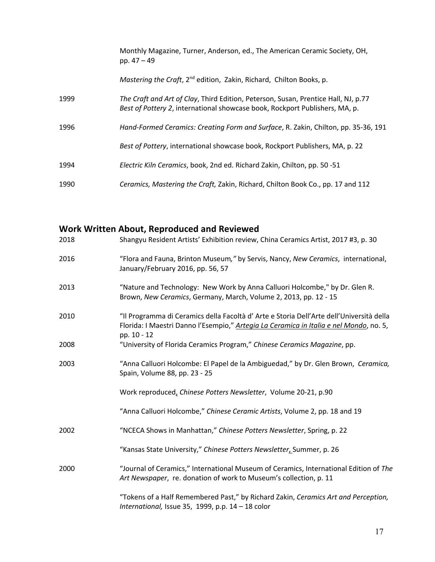|      | Monthly Magazine, Turner, Anderson, ed., The American Ceramic Society, OH,<br>pp. $47 - 49$                                                                       |
|------|-------------------------------------------------------------------------------------------------------------------------------------------------------------------|
|      | Mastering the Craft, 2 <sup>nd</sup> edition, Zakin, Richard, Chilton Books, p.                                                                                   |
| 1999 | The Craft and Art of Clay, Third Edition, Peterson, Susan, Prentice Hall, NJ, p.77<br>Best of Pottery 2, international showcase book, Rockport Publishers, MA, p. |
| 1996 | Hand-Formed Ceramics: Creating Form and Surface, R. Zakin, Chilton, pp. 35-36, 191                                                                                |
|      | Best of Pottery, international showcase book, Rockport Publishers, MA, p. 22                                                                                      |
| 1994 | Electric Kiln Ceramics, book, 2nd ed. Richard Zakin, Chilton, pp. 50 -51                                                                                          |
| 1990 | Ceramics, Mastering the Craft, Zakin, Richard, Chilton Book Co., pp. 17 and 112                                                                                   |

|      | Work Written About, Reproduced and Reviewed                                                                                                                                                      |
|------|--------------------------------------------------------------------------------------------------------------------------------------------------------------------------------------------------|
| 2018 | Shangyu Resident Artists' Exhibition review, China Ceramics Artist, 2017 #3, p. 30                                                                                                               |
| 2016 | "Flora and Fauna, Brinton Museum," by Servis, Nancy, New Ceramics, international,<br>January/February 2016, pp. 56, 57                                                                           |
| 2013 | "Nature and Technology: New Work by Anna Calluori Holcombe," by Dr. Glen R.<br>Brown, New Ceramics, Germany, March, Volume 2, 2013, pp. 12 - 15                                                  |
| 2010 | "Il Programma di Ceramics della Facoltà d'Arte e Storia Dell'Arte dell'Università della<br>Florida: I Maestri Danno l'Esempio," Artegia La Ceramica in Italia e nel Mondo, no. 5,<br>pp. 10 - 12 |
| 2008 | "University of Florida Ceramics Program," Chinese Ceramics Magazine, pp.                                                                                                                         |
| 2003 | "Anna Calluori Holcombe: El Papel de la Ambiguedad," by Dr. Glen Brown, Ceramica,<br>Spain, Volume 88, pp. 23 - 25                                                                               |
|      | Work reproduced, Chinese Potters Newsletter, Volume 20-21, p.90                                                                                                                                  |
|      | "Anna Calluori Holcombe," Chinese Ceramic Artists, Volume 2, pp. 18 and 19                                                                                                                       |
| 2002 | "NCECA Shows in Manhattan," Chinese Potters Newsletter, Spring, p. 22                                                                                                                            |
|      | "Kansas State University," Chinese Potters Newsletter, Summer, p. 26                                                                                                                             |
| 2000 | "Journal of Ceramics," International Museum of Ceramics, International Edition of The<br>Art Newspaper, re. donation of work to Museum's collection, p. 11                                       |
|      | "Tokens of a Half Remembered Past," by Richard Zakin, Ceramics Art and Perception,<br>International, Issue 35, 1999, p.p. $14 - 18$ color                                                        |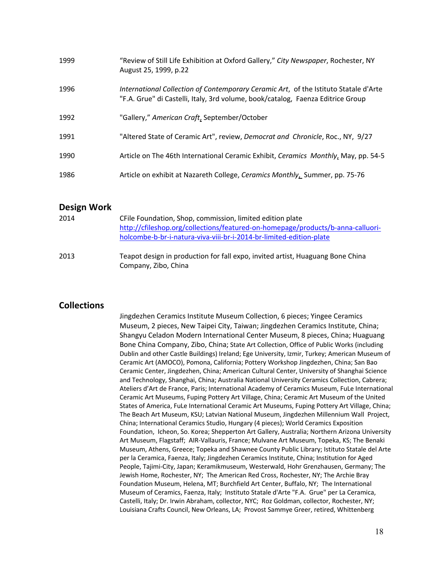| 1999 | "Review of Still Life Exhibition at Oxford Gallery," City Newspaper, Rochester, NY<br>August 25, 1999, p.22                                                             |
|------|-------------------------------------------------------------------------------------------------------------------------------------------------------------------------|
| 1996 | International Collection of Contemporary Ceramic Art, of the Istituto Statale d'Arte<br>"F.A. Grue" di Castelli, Italy, 3rd volume, book/catalog, Faenza Editrice Group |
| 1992 | "Gallery," American Craft, September/October                                                                                                                            |
| 1991 | "Altered State of Ceramic Art", review, Democrat and Chronicle, Roc., NY, 9/27                                                                                          |
| 1990 | Article on The 46th International Ceramic Exhibit, Ceramics Monthly, May, pp. 54-5                                                                                      |
| 1986 | Article on exhibit at Nazareth College, Ceramics Monthly, Summer, pp. 75-76                                                                                             |

#### **Design Work**

| 2014 | CFile Foundation, Shop, commission, limited edition plate                                              |
|------|--------------------------------------------------------------------------------------------------------|
|      | http://cfileshop.org/collections/featured-on-homepage/products/b-anna-calluori-                        |
|      | holcombe-b-br-i-natura-viva-viii-br-i-2014-br-limited-edition-plate                                    |
| 2013 | Teapot design in production for fall expo, invited artist, Huaguang Bone China<br>Company, Zibo, China |

### **Collections**

Jingdezhen Ceramics Institute Museum Collection, 6 pieces; Yingee Ceramics Museum, 2 pieces, New Taipei City, Taiwan; Jingdezhen Ceramics Institute, China; Shangyu Celadon Modern International Center Museum, 8 pieces, China; Huaguang Bone China Company, Zibo, China; State Art Collection, Office of Public Works (including Dublin and other Castle Buildings) Ireland; Ege University, Izmir, Turkey; American Museum of Ceramic Art (AMOCO), Pomona, California; Pottery Workshop Jingdezhen, China; San Bao Ceramic Center, Jingdezhen, China; American Cultural Center, University of Shanghai Science and Technology, Shanghai, China; Australia National University Ceramics Collection, Cabrera; Ateliers d'Art de France, Paris; International Academy of Ceramics Museum, FuLe International Ceramic Art Museums, Fuping Pottery Art Village, China; Ceramic Art Museum of the United States of America, FuLe International Ceramic Art Museums, Fuping Pottery Art Village, China; The Beach Art Museum, KSU; Latvian National Museum, Jingdezhen Millennium Wall Project, China; International Ceramics Studio, Hungary (4 pieces); World Ceramics Exposition Foundation, Icheon, So. Korea; Shepperton Art Gallery, Australia; Northern Arizona University Art Museum, Flagstaff; AIR-Vallauris, France; Mulvane Art Museum, Topeka, KS; The Benaki Museum, Athens, Greece; Topeka and Shawnee County Public Library; Istituto Statale del Arte per la Ceramica, Faenza, Italy; Jingdezhen Ceramics Institute, China; Institution for Aged People, Tajimi-City, Japan; Keramikmuseum, Westerwald, Hohr Grenzhausen, Germany; The Jewish Home, Rochester, NY; The American Red Cross, Rochester, NY; The Archie Bray Foundation Museum, Helena, MT; Burchfield Art Center, Buffalo, NY; The International Museum of Ceramics, Faenza, Italy; Instituto Statale d'Arte "F.A. Grue" per La Ceramica, Castelli, Italy; Dr. Irwin Abraham, collector, NYC; Roz Goldman, collector, Rochester, NY; Louisiana Crafts Council, New Orleans, LA; Provost Sammye Greer, retired, Whittenberg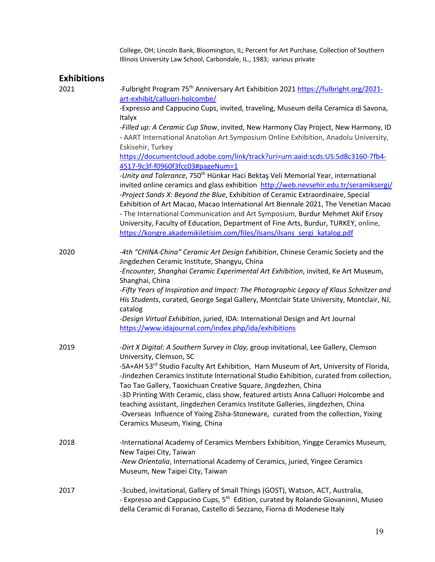College, OH; Lincoln Bank, Bloomington, IL; Percent for Art Purchase, Collection of Southern Illinois University Law School, Carbondale, IL., 1983; various private

### **Exhibitions**

| 2021 | -Fulbright Program 75 <sup>th</sup> Anniversary Art Exhibition 2021 https://fulbright.org/2021-<br>art-exhibit/calluori-holcombe/                                                                                                                                                                                                                                                                                                                                                                                                                                                                                                                                                                                                                                                                                                                                        |
|------|--------------------------------------------------------------------------------------------------------------------------------------------------------------------------------------------------------------------------------------------------------------------------------------------------------------------------------------------------------------------------------------------------------------------------------------------------------------------------------------------------------------------------------------------------------------------------------------------------------------------------------------------------------------------------------------------------------------------------------------------------------------------------------------------------------------------------------------------------------------------------|
|      | -Expresso and Cappucino Cups, invited, traveling, Museum della Ceramica di Savona,                                                                                                                                                                                                                                                                                                                                                                                                                                                                                                                                                                                                                                                                                                                                                                                       |
|      | Italyx<br>-Filled up: A Ceramic Cup Show, invited, New Harmony Clay Project, New Harmony, ID<br>- AART International Anatolian Art Symposium Online Exhibition, Anadolu University,<br>Eskisehir, Turkey<br>https://documentcloud.adobe.com/link/track?uri=urn:aaid:scds:US:5d8c3160-7fb4-<br>4517-9c3f-f0960f3fcc03#pageNum=1<br>-Unity and Tolerance, 750 <sup>th</sup> Hünkar Haci Bektaş Veli Memorial Year, international<br>invited online ceramics and glass exhibition http://web.nevsehir.edu.tr/seramiksergi/<br>-Project Sands X: Beyond the Blue, Exhibition of Ceramic Extraordinaire, Special<br>Exhibition of Art Macao, Macao International Art Biennale 2021, The Venetian Macao<br>- The International Communication and Art Symposium, Burdur Mehmet Akif Ersoy<br>University, Faculty of Education, Department of Fine Arts, Burdur, TURKEY, online, |
|      | https://kongre.akademikiletisim.com/files/ilsans/ilsans_sergi_katalog.pdf                                                                                                                                                                                                                                                                                                                                                                                                                                                                                                                                                                                                                                                                                                                                                                                                |
| 2020 | -4th "CHINA China" Ceramic Art Design Exhibition, Chinese Ceramic Society and the<br>Jingdezhen Ceramic Institute, Shangyu, China<br>-Encounter, Shanghai Ceramic Experimental Art Exhibition, invited, Ke Art Museum,<br>Shanghai, China<br>-Fifty Years of Inspiration and Impact: The Photographic Legacy of Klaus Schnitzer and<br>His Students, curated, George Segal Gallery, Montclair State University, Montclair, NJ,<br>catalog<br>-Design Virtual Exhibition, juried, IDA: International Design and Art Journal                                                                                                                                                                                                                                                                                                                                               |
|      | https://www.idajournal.com/index.php/ida/exhibitions                                                                                                                                                                                                                                                                                                                                                                                                                                                                                                                                                                                                                                                                                                                                                                                                                     |
| 2019 | -Dirt X Digital: A Southern Survey in Clay, group invitational, Lee Gallery, Clemson<br>University, Clemson, SC<br>-SA+AH 53 <sup>rd</sup> Studio Faculty Art Exhibition, Harn Museum of Art, University of Florida,<br>-Jindezhen Ceramics Institute International Studio Exhibition, curated from collection,<br>Tao Tao Gallery, Taoxichuan Creative Square, Jingdezhen, China<br>-3D Printing With Ceramic, class show, featured artists Anna Calluori Holcombe and<br>teaching assistant, Jingdezhen Ceramics Institute Galleries, Jingdezhen, China<br>-Overseas Influence of Yixing Zisha-Stoneware, curated from the collection, Yixing<br>Ceramics Museum, Yixing, China                                                                                                                                                                                        |
| 2018 | -International Academy of Ceramics Members Exhibition, Yingge Ceramics Museum,<br>New Taipei City, Taiwan<br>-New Orientalia, International Academy of Ceramics, juried, Yingee Ceramics<br>Museum, New Taipei City, Taiwan                                                                                                                                                                                                                                                                                                                                                                                                                                                                                                                                                                                                                                              |
| 2017 | -3cubed, invitational, Gallery of Small Things (GOST), Watson, ACT, Australia,<br>- Expresso and Cappucino Cups, 5 <sup>th</sup> Edition, curated by Rolando Giovaninni, Museo<br>della Ceramic di Foranao, Castello di Sezzano, Fiorna di Modenese Italy                                                                                                                                                                                                                                                                                                                                                                                                                                                                                                                                                                                                                |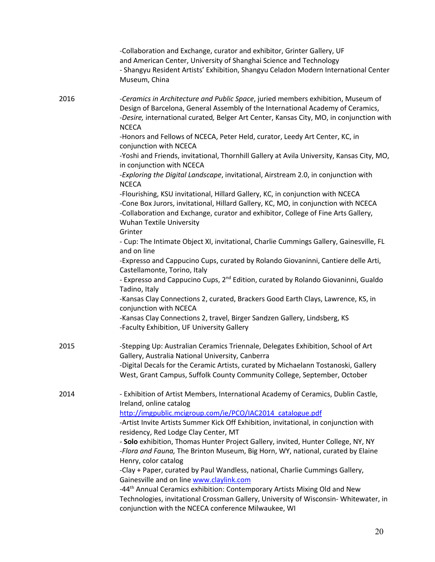|      | -Collaboration and Exchange, curator and exhibitor, Grinter Gallery, UF<br>and American Center, University of Shanghai Science and Technology<br>- Shangyu Resident Artists' Exhibition, Shangyu Celadon Modern International Center<br>Museum, China                                        |
|------|----------------------------------------------------------------------------------------------------------------------------------------------------------------------------------------------------------------------------------------------------------------------------------------------|
| 2016 | -Ceramics in Architecture and Public Space, juried members exhibition, Museum of<br>Design of Barcelona, General Assembly of the International Academy of Ceramics,<br>-Desire, international curated, Belger Art Center, Kansas City, MO, in conjunction with<br><b>NCECA</b>               |
|      | -Honors and Fellows of NCECA, Peter Held, curator, Leedy Art Center, KC, in<br>conjunction with NCECA                                                                                                                                                                                        |
|      | -Yoshi and Friends, invitational, Thornhill Gallery at Avila University, Kansas City, MO,<br>in conjunction with NCECA                                                                                                                                                                       |
|      | -Exploring the Digital Landscape, invitational, Airstream 2.0, in conjunction with<br><b>NCECA</b>                                                                                                                                                                                           |
|      | -Flourishing, KSU invitational, Hillard Gallery, KC, in conjunction with NCECA<br>-Cone Box Jurors, invitational, Hillard Gallery, KC, MO, in conjunction with NCECA<br>-Collaboration and Exchange, curator and exhibitor, College of Fine Arts Gallery,<br><b>Wuhan Textile University</b> |
|      | Grinter<br>- Cup: The Intimate Object XI, invitational, Charlie Cummings Gallery, Gainesville, FL<br>and on line                                                                                                                                                                             |
|      | -Expresso and Cappucino Cups, curated by Rolando Giovaninni, Cantiere delle Arti,<br>Castellamonte, Torino, Italy                                                                                                                                                                            |
|      | - Expresso and Cappucino Cups, 2 <sup>nd</sup> Edition, curated by Rolando Giovaninni, Gualdo<br>Tadino, Italy                                                                                                                                                                               |
|      | -Kansas Clay Connections 2, curated, Brackers Good Earth Clays, Lawrence, KS, in<br>conjunction with NCECA                                                                                                                                                                                   |
|      | -Kansas Clay Connections 2, travel, Birger Sandzen Gallery, Lindsberg, KS<br>-Faculty Exhibition, UF University Gallery                                                                                                                                                                      |
| 2015 | -Stepping Up: Australian Ceramics Triennale, Delegates Exhibition, School of Art<br>Gallery, Australia National University, Canberra                                                                                                                                                         |
|      | -Digital Decals for the Ceramic Artists, curated by Michaelann Tostanoski, Gallery<br>West, Grant Campus, Suffolk County Community College, September, October                                                                                                                               |
| 2014 | - Exhibition of Artist Members, International Academy of Ceramics, Dublin Castle,<br>Ireland, online catalog                                                                                                                                                                                 |
|      | http://imgpublic.mcigroup.com/ie/PCO/IAC2014 catalogue.pdf<br>-Artist Invite Artists Summer Kick Off Exhibition, invitational, in conjunction with                                                                                                                                           |
|      | residency, Red Lodge Clay Center, MT                                                                                                                                                                                                                                                         |
|      | - Solo exhibition, Thomas Hunter Project Gallery, invited, Hunter College, NY, NY<br>-Flora and Fauna, The Brinton Museum, Big Horn, WY, national, curated by Elaine                                                                                                                         |
|      | Henry, color catalog<br>-Clay + Paper, curated by Paul Wandless, national, Charlie Cummings Gallery,                                                                                                                                                                                         |
|      | Gainesville and on line www.claylink.com                                                                                                                                                                                                                                                     |
|      | -44 <sup>th</sup> Annual Ceramics exhibition: Contemporary Artists Mixing Old and New<br>Technologies, invitational Crossman Gallery, University of Wisconsin-Whitewater, in<br>conjunction with the NCECA conference Milwaukee, WI                                                          |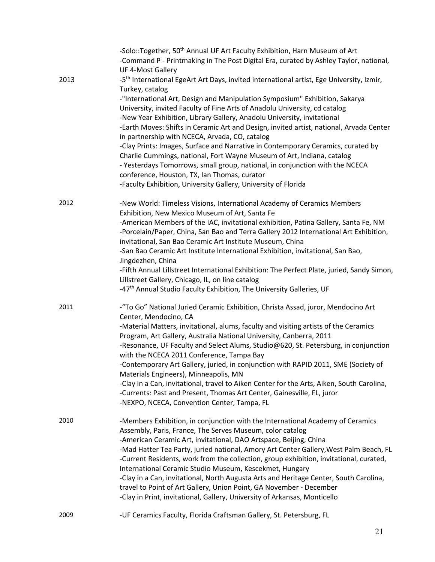|      | -Solo::Together, 50 <sup>th</sup> Annual UF Art Faculty Exhibition, Harn Museum of Art<br>-Command P - Printmaking in The Post Digital Era, curated by Ashley Taylor, national,<br>UF 4-Most Gallery                                                                                                                                                                                                                                                                                                                                                                                                                                                                                                                                                                                                                                                                         |
|------|------------------------------------------------------------------------------------------------------------------------------------------------------------------------------------------------------------------------------------------------------------------------------------------------------------------------------------------------------------------------------------------------------------------------------------------------------------------------------------------------------------------------------------------------------------------------------------------------------------------------------------------------------------------------------------------------------------------------------------------------------------------------------------------------------------------------------------------------------------------------------|
| 2013 | -5 <sup>th</sup> International EgeArt Art Days, invited international artist, Ege University, Izmir,<br>Turkey, catalog<br>-"International Art, Design and Manipulation Symposium" Exhibition, Sakarya<br>University, invited Faculty of Fine Arts of Anadolu University, cd catalog<br>-New Year Exhibition, Library Gallery, Anadolu University, invitational<br>-Earth Moves: Shifts in Ceramic Art and Design, invited artist, national, Arvada Center<br>in partnership with NCECA, Arvada, CO, catalog<br>-Clay Prints: Images, Surface and Narrative in Contemporary Ceramics, curated by<br>Charlie Cummings, national, Fort Wayne Museum of Art, Indiana, catalog<br>- Yesterdays Tomorrows, small group, national, in conjunction with the NCECA<br>conference, Houston, TX, Ian Thomas, curator<br>-Faculty Exhibition, University Gallery, University of Florida |
| 2012 | -New World: Timeless Visions, International Academy of Ceramics Members<br>Exhibition, New Mexico Museum of Art, Santa Fe<br>-American Members of the IAC, invitational exhibition, Patina Gallery, Santa Fe, NM<br>-Porcelain/Paper, China, San Bao and Terra Gallery 2012 International Art Exhibition,<br>invitational, San Bao Ceramic Art Institute Museum, China<br>-San Bao Ceramic Art Institute International Exhibition, invitational, San Bao,<br>Jingdezhen, China<br>-Fifth Annual Lillstreet International Exhibition: The Perfect Plate, juried, Sandy Simon,<br>Lillstreet Gallery, Chicago, IL, on line catalog<br>-47 <sup>th</sup> Annual Studio Faculty Exhibition, The University Galleries, UF                                                                                                                                                         |
| 2011 | -"To Go" National Juried Ceramic Exhibition, Christa Assad, juror, Mendocino Art<br>Center, Mendocino, CA<br>-Material Matters, invitational, alums, faculty and visiting artists of the Ceramics<br>Program, Art Gallery, Australia National University, Canberra, 2011<br>-Resonance, UF Faculty and Select Alums, Studio@620, St. Petersburg, in conjunction<br>with the NCECA 2011 Conference, Tampa Bay<br>-Contemporary Art Gallery, juried, in conjunction with RAPID 2011, SME (Society of<br>Materials Engineers), Minneapolis, MN<br>-Clay in a Can, invitational, travel to Aiken Center for the Arts, Aiken, South Carolina,<br>-Currents: Past and Present, Thomas Art Center, Gainesville, FL, juror<br>-NEXPO, NCECA, Convention Center, Tampa, FL                                                                                                            |
| 2010 | -Members Exhibition, in conjunction with the International Academy of Ceramics<br>Assembly, Paris, France, The Serves Museum, color catalog<br>-American Ceramic Art, invitational, DAO Artspace, Beijing, China<br>-Mad Hatter Tea Party, juried national, Amory Art Center Gallery, West Palm Beach, FL<br>-Current Residents, work from the collection, group exhibition, invitational, curated,<br>International Ceramic Studio Museum, Kescekmet, Hungary<br>-Clay in a Can, invitational, North Augusta Arts and Heritage Center, South Carolina,<br>travel to Point of Art Gallery, Union Point, GA November - December<br>-Clay in Print, invitational, Gallery, University of Arkansas, Monticello                                                                                                                                                                  |
| 2009 | -UF Ceramics Faculty, Florida Craftsman Gallery, St. Petersburg, FL                                                                                                                                                                                                                                                                                                                                                                                                                                                                                                                                                                                                                                                                                                                                                                                                          |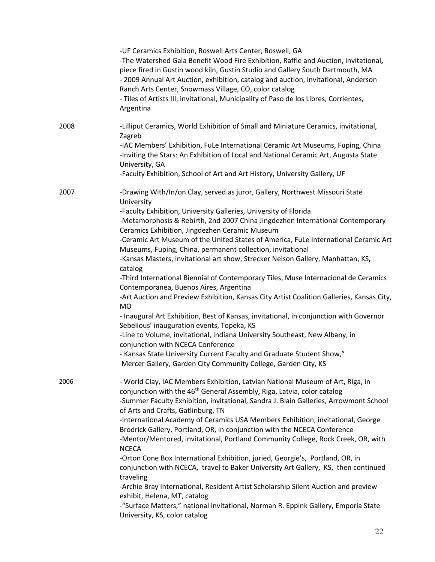|      | -UF Ceramics Exhibition, Roswell Arts Center, Roswell, GA<br>-The Watershed Gala Benefit Wood Fire Exhibition, Raffle and Auction, invitational,<br>piece fired in Gustin wood kiln, Gustin Studio and Gallery South Dartmouth, MA<br>- 2009 Annual Art Auction, exhibition, catalog and auction, invitational, Anderson<br>Ranch Arts Center, Snowmass Village, CO, color catalog<br>- Tiles of Artists III, invitational, Municipality of Paso de los Libres, Corrientes,<br>Argentina |
|------|------------------------------------------------------------------------------------------------------------------------------------------------------------------------------------------------------------------------------------------------------------------------------------------------------------------------------------------------------------------------------------------------------------------------------------------------------------------------------------------|
| 2008 | -Lilliput Ceramics, World Exhibition of Small and Miniature Ceramics, invitational,<br>Zagreb                                                                                                                                                                                                                                                                                                                                                                                            |
|      | -IAC Members' Exhibition, FuLe International Ceramic Art Museums, Fuping, China<br>-Inviting the Stars: An Exhibition of Local and National Ceramic Art, Augusta State<br>University, GA                                                                                                                                                                                                                                                                                                 |
|      | -Faculty Exhibition, School of Art and Art History, University Gallery, UF                                                                                                                                                                                                                                                                                                                                                                                                               |
| 2007 | -Drawing With/In/on Clay, served as juror, Gallery, Northwest Missouri State<br>University                                                                                                                                                                                                                                                                                                                                                                                               |
|      | -Faculty Exhibition, University Galleries, University of Florida                                                                                                                                                                                                                                                                                                                                                                                                                         |
|      | -Metamorphosis & Rebirth, 2nd 2007 China Jingdezhen International Contemporary<br>Ceramics Exhibition, Jingdezhen Ceramic Museum                                                                                                                                                                                                                                                                                                                                                         |
|      | -Ceramic Art Museum of the United States of America, FuLe International Ceramic Art                                                                                                                                                                                                                                                                                                                                                                                                      |
|      | Museums, Fuping, China, permanent collection, invitational                                                                                                                                                                                                                                                                                                                                                                                                                               |
|      | -Kansas Masters, invitational art show, Strecker Nelson Gallery, Manhattan, KS,                                                                                                                                                                                                                                                                                                                                                                                                          |
|      | catalog<br>-Third International Biennial of Contemporary Tiles, Muse Internacional de Ceramics                                                                                                                                                                                                                                                                                                                                                                                           |
|      | Contemporanea, Buenos Aires, Argentina                                                                                                                                                                                                                                                                                                                                                                                                                                                   |
|      | -Art Auction and Preview Exhibition, Kansas City Artist Coalition Galleries, Kansas City,<br><b>MO</b>                                                                                                                                                                                                                                                                                                                                                                                   |
|      | - Inaugural Art Exhibition, Best of Kansas, invitational, in conjunction with Governor<br>Sebelious' inauguration events, Topeka, KS                                                                                                                                                                                                                                                                                                                                                     |
|      | -Line to Volume, invitational, Indiana University Southeast, New Albany, in<br>conjunction with NCECA Conference                                                                                                                                                                                                                                                                                                                                                                         |
|      | - Kansas State University Current Faculty and Graduate Student Show,"<br>Mercer Gallery, Garden City Community College, Garden City, KS                                                                                                                                                                                                                                                                                                                                                  |
| 2006 | - World Clay, IAC Members Exhibition, Latvian National Museum of Art, Riga, in                                                                                                                                                                                                                                                                                                                                                                                                           |
|      | conjunction with the 46 <sup>th</sup> General Assembly, Riga, Latvia, color catalog                                                                                                                                                                                                                                                                                                                                                                                                      |
|      | -Summer Faculty Exhibition, invitational, Sandra J. Blain Galleries, Arrowmont School                                                                                                                                                                                                                                                                                                                                                                                                    |
|      | of Arts and Crafts, Gatlinburg, TN                                                                                                                                                                                                                                                                                                                                                                                                                                                       |
|      | -International Academy of Ceramics USA Members Exhibition, invitational, George<br>Brodrick Gallery, Portland, OR, in conjunction with the NCECA Conference                                                                                                                                                                                                                                                                                                                              |
|      | -Mentor/Mentored, invitational, Portland Community College, Rock Creek, OR, with<br><b>NCECA</b>                                                                                                                                                                                                                                                                                                                                                                                         |
|      | -Orton Cone Box International Exhibition, juried, Georgie's, Portland, OR, in                                                                                                                                                                                                                                                                                                                                                                                                            |
|      | conjunction with NCECA, travel to Baker University Art Gallery, KS, then continued                                                                                                                                                                                                                                                                                                                                                                                                       |
|      | traveling<br>-Archie Bray International, Resident Artist Scholarship Silent Auction and preview                                                                                                                                                                                                                                                                                                                                                                                          |
|      | exhibit, Helena, MT, catalog                                                                                                                                                                                                                                                                                                                                                                                                                                                             |
|      | -"Surface Matters," national invitational, Norman R. Eppink Gallery, Emporia State                                                                                                                                                                                                                                                                                                                                                                                                       |
|      | University, KS, color catalog                                                                                                                                                                                                                                                                                                                                                                                                                                                            |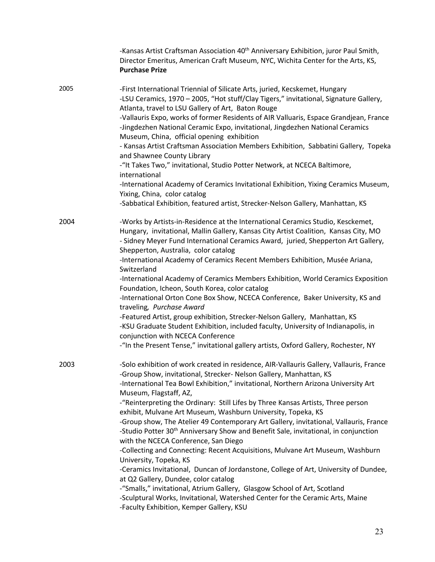|      | -Kansas Artist Craftsman Association 40 <sup>th</sup> Anniversary Exhibition, juror Paul Smith,<br>Director Emeritus, American Craft Museum, NYC, Wichita Center for the Arts, KS,<br><b>Purchase Prize</b>                                                                                                                                                                                                                                                                                                                                                                                                                                                                                                                                                                                                                                                                                                                                                                                                                                                                                                               |
|------|---------------------------------------------------------------------------------------------------------------------------------------------------------------------------------------------------------------------------------------------------------------------------------------------------------------------------------------------------------------------------------------------------------------------------------------------------------------------------------------------------------------------------------------------------------------------------------------------------------------------------------------------------------------------------------------------------------------------------------------------------------------------------------------------------------------------------------------------------------------------------------------------------------------------------------------------------------------------------------------------------------------------------------------------------------------------------------------------------------------------------|
| 2005 | -First International Triennial of Silicate Arts, juried, Kecskemet, Hungary<br>-LSU Ceramics, 1970 - 2005, "Hot stuff/Clay Tigers," invitational, Signature Gallery,<br>Atlanta, travel to LSU Gallery of Art, Baton Rouge<br>-Vallauris Expo, works of former Residents of AIR Valluaris, Espace Grandjean, France<br>-Jingdezhen National Ceramic Expo, invitational, Jingdezhen National Ceramics<br>Museum, China, official opening exhibition<br>- Kansas Artist Craftsman Association Members Exhibition, Sabbatini Gallery, Topeka<br>and Shawnee County Library<br>-"It Takes Two," invitational, Studio Potter Network, at NCECA Baltimore,<br>international<br>-International Academy of Ceramics Invitational Exhibition, Yixing Ceramics Museum,<br>Yixing, China, color catalog<br>-Sabbatical Exhibition, featured artist, Strecker-Nelson Gallery, Manhattan, KS                                                                                                                                                                                                                                           |
| 2004 | -Works by Artists-in-Residence at the International Ceramics Studio, Kesckemet,<br>Hungary, invitational, Mallin Gallery, Kansas City Artist Coalition, Kansas City, MO<br>- Sidney Meyer Fund International Ceramics Award, juried, Shepperton Art Gallery,<br>Shepperton, Australia, color catalog<br>-International Academy of Ceramics Recent Members Exhibition, Musée Ariana,<br>Switzerland<br>-International Academy of Ceramics Members Exhibition, World Ceramics Exposition<br>Foundation, Icheon, South Korea, color catalog<br>-International Orton Cone Box Show, NCECA Conference, Baker University, KS and<br>traveling, Purchase Award<br>-Featured Artist, group exhibition, Strecker-Nelson Gallery, Manhattan, KS<br>-KSU Graduate Student Exhibition, included faculty, University of Indianapolis, in<br>conjunction with NCECA Conference<br>-"In the Present Tense," invitational gallery artists, Oxford Gallery, Rochester, NY                                                                                                                                                                  |
| 2003 | -Solo exhibition of work created in residence, AIR-Vallauris Gallery, Vallauris, France<br>-Group Show, invitational, Strecker- Nelson Gallery, Manhattan, KS<br>-International Tea Bowl Exhibition," invitational, Northern Arizona University Art<br>Museum, Flagstaff, AZ,<br>-"Reinterpreting the Ordinary: Still Lifes by Three Kansas Artists, Three person<br>exhibit, Mulvane Art Museum, Washburn University, Topeka, KS<br>-Group show, The Atelier 49 Contemporary Art Gallery, invitational, Vallauris, France<br>-Studio Potter 30 <sup>th</sup> Anniversary Show and Benefit Sale, invitational, in conjunction<br>with the NCECA Conference, San Diego<br>-Collecting and Connecting: Recent Acquisitions, Mulvane Art Museum, Washburn<br>University, Topeka, KS<br>-Ceramics Invitational, Duncan of Jordanstone, College of Art, University of Dundee,<br>at Q2 Gallery, Dundee, color catalog<br>-"Smalls," invitational, Atrium Gallery, Glasgow School of Art, Scotland<br>-Sculptural Works, Invitational, Watershed Center for the Ceramic Arts, Maine<br>-Faculty Exhibition, Kemper Gallery, KSU |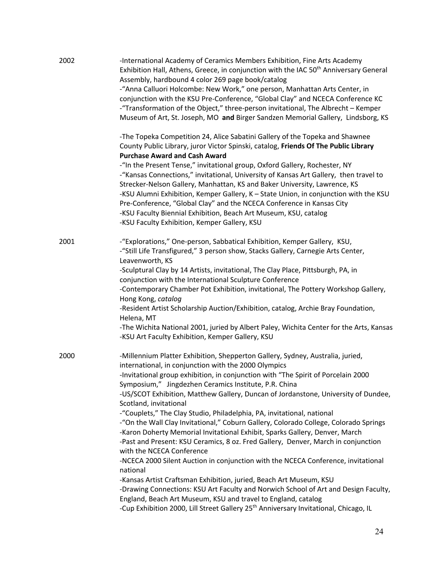| 2002 | -International Academy of Ceramics Members Exhibition, Fine Arts Academy<br>Exhibition Hall, Athens, Greece, in conjunction with the IAC 50 <sup>th</sup> Anniversary General<br>Assembly, hardbound 4 color 269 page book/catalog<br>-"Anna Calluori Holcombe: New Work," one person, Manhattan Arts Center, in<br>conjunction with the KSU Pre-Conference, "Global Clay" and NCECA Conference KC<br>-"Transformation of the Object," three-person invitational, The Albrecht - Kemper<br>Museum of Art, St. Joseph, MO and Birger Sandzen Memorial Gallery, Lindsborg, KS                                                                                                                                                                                                                                                                                                                                                                                                                                                                                                                                                                                                                                |
|------|------------------------------------------------------------------------------------------------------------------------------------------------------------------------------------------------------------------------------------------------------------------------------------------------------------------------------------------------------------------------------------------------------------------------------------------------------------------------------------------------------------------------------------------------------------------------------------------------------------------------------------------------------------------------------------------------------------------------------------------------------------------------------------------------------------------------------------------------------------------------------------------------------------------------------------------------------------------------------------------------------------------------------------------------------------------------------------------------------------------------------------------------------------------------------------------------------------|
|      | -The Topeka Competition 24, Alice Sabatini Gallery of the Topeka and Shawnee<br>County Public Library, juror Victor Spinski, catalog, Friends Of The Public Library<br><b>Purchase Award and Cash Award</b><br>-"In the Present Tense," invitational group, Oxford Gallery, Rochester, NY<br>-"Kansas Connections," invitational, University of Kansas Art Gallery, then travel to<br>Strecker-Nelson Gallery, Manhattan, KS and Baker University, Lawrence, KS<br>-KSU Alumni Exhibition, Kemper Gallery, K - State Union, in conjunction with the KSU<br>Pre-Conference, "Global Clay" and the NCECA Conference in Kansas City<br>-KSU Faculty Biennial Exhibition, Beach Art Museum, KSU, catalog<br>-KSU Faculty Exhibition, Kemper Gallery, KSU                                                                                                                                                                                                                                                                                                                                                                                                                                                       |
| 2001 | -"Explorations," One-person, Sabbatical Exhibition, Kemper Gallery, KSU,<br>-"Still Life Transfigured," 3 person show, Stacks Gallery, Carnegie Arts Center,<br>Leavenworth, KS<br>-Sculptural Clay by 14 Artists, invitational, The Clay Place, Pittsburgh, PA, in<br>conjunction with the International Sculpture Conference<br>-Contemporary Chamber Pot Exhibition, invitational, The Pottery Workshop Gallery,<br>Hong Kong, catalog<br>-Resident Artist Scholarship Auction/Exhibition, catalog, Archie Bray Foundation,<br>Helena, MT<br>-The Wichita National 2001, juried by Albert Paley, Wichita Center for the Arts, Kansas<br>-KSU Art Faculty Exhibition, Kemper Gallery, KSU                                                                                                                                                                                                                                                                                                                                                                                                                                                                                                                |
| 2000 | -Millennium Platter Exhibition, Shepperton Gallery, Sydney, Australia, juried,<br>international, in conjunction with the 2000 Olympics<br>-Invitational group exhibition, in conjunction with "The Spirit of Porcelain 2000<br>Symposium," Jingdezhen Ceramics Institute, P.R. China<br>-US/SCOT Exhibition, Matthew Gallery, Duncan of Jordanstone, University of Dundee,<br>Scotland, invitational<br>-"Couplets," The Clay Studio, Philadelphia, PA, invitational, national<br>-"On the Wall Clay Invitational," Coburn Gallery, Colorado College, Colorado Springs<br>-Karon Doherty Memorial Invitational Exhibit, Sparks Gallery, Denver, March<br>-Past and Present: KSU Ceramics, 8 oz. Fred Gallery, Denver, March in conjunction<br>with the NCECA Conference<br>-NCECA 2000 Silent Auction in conjunction with the NCECA Conference, invitational<br>national<br>-Kansas Artist Craftsman Exhibition, juried, Beach Art Museum, KSU<br>-Drawing Connections: KSU Art Faculty and Norwich School of Art and Design Faculty,<br>England, Beach Art Museum, KSU and travel to England, catalog<br>-Cup Exhibition 2000, Lill Street Gallery 25 <sup>th</sup> Anniversary Invitational, Chicago, IL |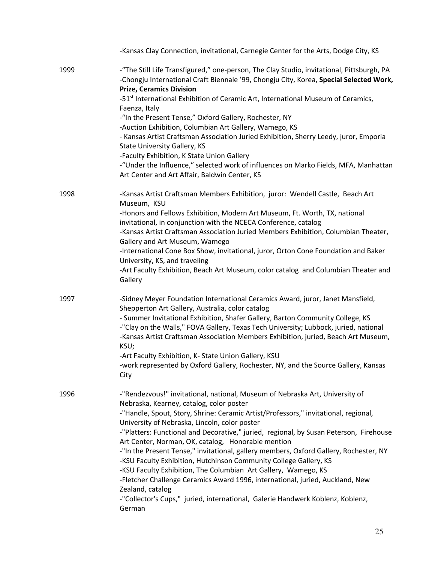|      | -Kansas Clay Connection, invitational, Carnegie Center for the Arts, Dodge City, KS                                                                                                                                                                                  |
|------|----------------------------------------------------------------------------------------------------------------------------------------------------------------------------------------------------------------------------------------------------------------------|
| 1999 | -"The Still Life Transfigured," one-person, The Clay Studio, invitational, Pittsburgh, PA<br>-Chongju International Craft Biennale '99, Chongju City, Korea, Special Selected Work,<br><b>Prize, Ceramics Division</b>                                               |
|      | -51 <sup>st</sup> International Exhibition of Ceramic Art, International Museum of Ceramics,<br>Faenza, Italy                                                                                                                                                        |
|      | -"In the Present Tense," Oxford Gallery, Rochester, NY                                                                                                                                                                                                               |
|      | -Auction Exhibition, Columbian Art Gallery, Wamego, KS<br>- Kansas Artist Craftsman Association Juried Exhibition, Sherry Leedy, juror, Emporia<br><b>State University Gallery, KS</b>                                                                               |
|      | -Faculty Exhibition, K State Union Gallery<br>-"Under the Influence," selected work of influences on Marko Fields, MFA, Manhattan<br>Art Center and Art Affair, Baldwin Center, KS                                                                                   |
| 1998 | -Kansas Artist Craftsman Members Exhibition, juror: Wendell Castle, Beach Art<br>Museum, KSU                                                                                                                                                                         |
|      | -Honors and Fellows Exhibition, Modern Art Museum, Ft. Worth, TX, national<br>invitational, in conjunction with the NCECA Conference, catalog                                                                                                                        |
|      | -Kansas Artist Craftsman Association Juried Members Exhibition, Columbian Theater,<br>Gallery and Art Museum, Wamego                                                                                                                                                 |
|      | -International Cone Box Show, invitational, juror, Orton Cone Foundation and Baker<br>University, KS, and traveling                                                                                                                                                  |
|      | -Art Faculty Exhibition, Beach Art Museum, color catalog and Columbian Theater and<br>Gallery                                                                                                                                                                        |
| 1997 | -Sidney Meyer Foundation International Ceramics Award, juror, Janet Mansfield,<br>Shepperton Art Gallery, Australia, color catalog                                                                                                                                   |
|      | - Summer Invitational Exhibition, Shafer Gallery, Barton Community College, KS<br>-"Clay on the Walls," FOVA Gallery, Texas Tech University; Lubbock, juried, national<br>-Kansas Artist Craftsman Association Members Exhibition, juried, Beach Art Museum,<br>KSU; |
|      | -Art Faculty Exhibition, K- State Union Gallery, KSU                                                                                                                                                                                                                 |
|      | -work represented by Oxford Gallery, Rochester, NY, and the Source Gallery, Kansas<br>City                                                                                                                                                                           |
| 1996 | -"Rendezvous!" invitational, national, Museum of Nebraska Art, University of<br>Nebraska, Kearney, catalog, color poster                                                                                                                                             |
|      | -"Handle, Spout, Story, Shrine: Ceramic Artist/Professors," invitational, regional,<br>University of Nebraska, Lincoln, color poster                                                                                                                                 |
|      | -"Platters: Functional and Decorative," juried, regional, by Susan Peterson, Firehouse<br>Art Center, Norman, OK, catalog, Honorable mention                                                                                                                         |
|      | -"In the Present Tense," invitational, gallery members, Oxford Gallery, Rochester, NY<br>-KSU Faculty Exhibition, Hutchinson Community College Gallery, KS                                                                                                           |
|      | -KSU Faculty Exhibition, The Columbian Art Gallery, Wamego, KS                                                                                                                                                                                                       |
|      | -Fletcher Challenge Ceramics Award 1996, international, juried, Auckland, New<br>Zealand, catalog                                                                                                                                                                    |
|      | -"Collector's Cups," juried, international, Galerie Handwerk Koblenz, Koblenz,<br>German                                                                                                                                                                             |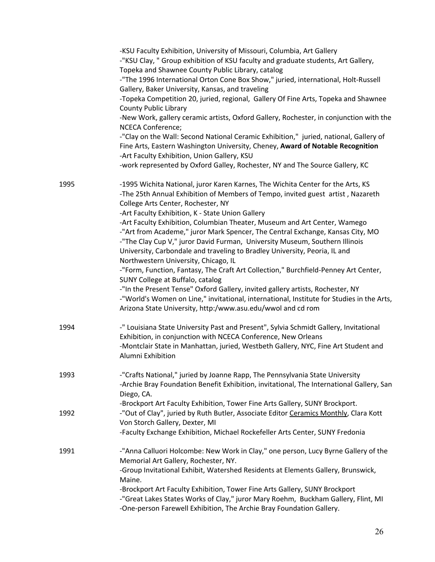|      | -KSU Faculty Exhibition, University of Missouri, Columbia, Art Gallery<br>-"KSU Clay, " Group exhibition of KSU faculty and graduate students, Art Gallery,<br>Topeka and Shawnee County Public Library, catalog<br>-"The 1996 International Orton Cone Box Show," juried, international, Holt-Russell<br>Gallery, Baker University, Kansas, and traveling<br>-Topeka Competition 20, juried, regional, Gallery Of Fine Arts, Topeka and Shawnee<br><b>County Public Library</b><br>-New Work, gallery ceramic artists, Oxford Gallery, Rochester, in conjunction with the<br>NCECA Conference;<br>-"Clay on the Wall: Second National Ceramic Exhibition," juried, national, Gallery of<br>Fine Arts, Eastern Washington University, Cheney, Award of Notable Recognition<br>-Art Faculty Exhibition, Union Gallery, KSU<br>-work represented by Oxford Galley, Rochester, NY and The Source Gallery, KC |
|------|-----------------------------------------------------------------------------------------------------------------------------------------------------------------------------------------------------------------------------------------------------------------------------------------------------------------------------------------------------------------------------------------------------------------------------------------------------------------------------------------------------------------------------------------------------------------------------------------------------------------------------------------------------------------------------------------------------------------------------------------------------------------------------------------------------------------------------------------------------------------------------------------------------------|
| 1995 | -1995 Wichita National, juror Karen Karnes, The Wichita Center for the Arts, KS<br>-The 25th Annual Exhibition of Members of Tempo, invited guest artist, Nazareth<br>College Arts Center, Rochester, NY<br>-Art Faculty Exhibition, K - State Union Gallery<br>-Art Faculty Exhibition, Columbian Theater, Museum and Art Center, Wamego<br>-"Art from Academe," juror Mark Spencer, The Central Exchange, Kansas City, MO<br>-"The Clay Cup V," juror David Furman, University Museum, Southern Illinois<br>University, Carbondale and traveling to Bradley University, Peoria, IL and<br>Northwestern University, Chicago, IL                                                                                                                                                                                                                                                                          |
|      | -"Form, Function, Fantasy, The Craft Art Collection," Burchfield-Penney Art Center,<br>SUNY College at Buffalo, catalog<br>-"In the Present Tense" Oxford Gallery, invited gallery artists, Rochester, NY<br>-"World's Women on Line," invitational, international, Institute for Studies in the Arts,<br>Arizona State University, http:/www.asu.edu/wwol and cd rom                                                                                                                                                                                                                                                                                                                                                                                                                                                                                                                                     |
| 1994 | -" Louisiana State University Past and Present", Sylvia Schmidt Gallery, Invitational<br>Exhibition, in conjunction with NCECA Conference, New Orleans<br>-Montclair State in Manhattan, juried, Westbeth Gallery, NYC, Fine Art Student and<br>Alumni Exhibition                                                                                                                                                                                                                                                                                                                                                                                                                                                                                                                                                                                                                                         |
| 1993 | -"Crafts National," juried by Joanne Rapp, The Pennsylvania State University<br>-Archie Bray Foundation Benefit Exhibition, invitational, The International Gallery, San<br>Diego, CA.<br>-Brockport Art Faculty Exhibition, Tower Fine Arts Gallery, SUNY Brockport.                                                                                                                                                                                                                                                                                                                                                                                                                                                                                                                                                                                                                                     |
| 1992 | -"Out of Clay", juried by Ruth Butler, Associate Editor Ceramics Monthly, Clara Kott<br>Von Storch Gallery, Dexter, MI<br>-Faculty Exchange Exhibition, Michael Rockefeller Arts Center, SUNY Fredonia                                                                                                                                                                                                                                                                                                                                                                                                                                                                                                                                                                                                                                                                                                    |
| 1991 | -"Anna Calluori Holcombe: New Work in Clay," one person, Lucy Byrne Gallery of the<br>Memorial Art Gallery, Rochester, NY.<br>-Group Invitational Exhibit, Watershed Residents at Elements Gallery, Brunswick,<br>Maine.<br>-Brockport Art Faculty Exhibition, Tower Fine Arts Gallery, SUNY Brockport<br>-"Great Lakes States Works of Clay," juror Mary Roehm, Buckham Gallery, Flint, MI<br>-One-person Farewell Exhibition, The Archie Bray Foundation Gallery.                                                                                                                                                                                                                                                                                                                                                                                                                                       |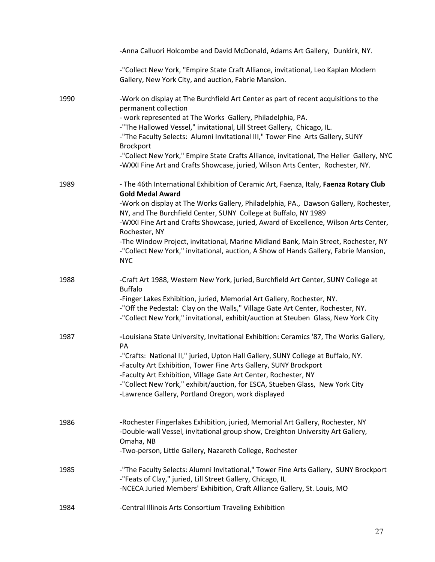|      | -Anna Calluori Holcombe and David McDonald, Adams Art Gallery, Dunkirk, NY.                                                                                                                                                                                                                                                                                                                                                                                                                                                                                                      |
|------|----------------------------------------------------------------------------------------------------------------------------------------------------------------------------------------------------------------------------------------------------------------------------------------------------------------------------------------------------------------------------------------------------------------------------------------------------------------------------------------------------------------------------------------------------------------------------------|
|      | -"Collect New York, "Empire State Craft Alliance, invitational, Leo Kaplan Modern<br>Gallery, New York City, and auction, Fabrie Mansion.                                                                                                                                                                                                                                                                                                                                                                                                                                        |
| 1990 | -Work on display at The Burchfield Art Center as part of recent acquisitions to the<br>permanent collection<br>- work represented at The Works Gallery, Philadelphia, PA.<br>-"The Hallowed Vessel," invitational, Lill Street Gallery, Chicago, IL.<br>-"The Faculty Selects: Alumni Invitational III," Tower Fine Arts Gallery, SUNY<br><b>Brockport</b><br>-"Collect New York," Empire State Crafts Alliance, invitational, The Heller Gallery, NYC<br>-WXXI Fine Art and Crafts Showcase, juried, Wilson Arts Center, Rochester, NY.                                         |
| 1989 | - The 46th International Exhibition of Ceramic Art, Faenza, Italy, Faenza Rotary Club<br><b>Gold Medal Award</b><br>-Work on display at The Works Gallery, Philadelphia, PA., Dawson Gallery, Rochester,<br>NY, and The Burchfield Center, SUNY College at Buffalo, NY 1989<br>-WXXI Fine Art and Crafts Showcase, juried, Award of Excellence, Wilson Arts Center,<br>Rochester, NY<br>-The Window Project, invitational, Marine Midland Bank, Main Street, Rochester, NY<br>-"Collect New York," invitational, auction, A Show of Hands Gallery, Fabrie Mansion,<br><b>NYC</b> |
| 1988 | -Craft Art 1988, Western New York, juried, Burchfield Art Center, SUNY College at<br><b>Buffalo</b><br>-Finger Lakes Exhibition, juried, Memorial Art Gallery, Rochester, NY.<br>-"Off the Pedestal: Clay on the Walls," Village Gate Art Center, Rochester, NY.<br>-"Collect New York," invitational, exhibit/auction at Steuben Glass, New York City                                                                                                                                                                                                                           |
| 1987 | -Louisiana State University, Invitational Exhibition: Ceramics '87, The Works Gallery,<br>PA<br>-"Crafts: National II," juried, Upton Hall Gallery, SUNY College at Buffalo, NY.<br>-Faculty Art Exhibition, Tower Fine Arts Gallery, SUNY Brockport<br>-Faculty Art Exhibition, Village Gate Art Center, Rochester, NY<br>-"Collect New York," exhibit/auction, for ESCA, Stueben Glass, New York City<br>-Lawrence Gallery, Portland Oregon, work displayed                                                                                                                    |
| 1986 | -Rochester Fingerlakes Exhibition, juried, Memorial Art Gallery, Rochester, NY<br>-Double-wall Vessel, invitational group show, Creighton University Art Gallery,<br>Omaha, NB<br>-Two-person, Little Gallery, Nazareth College, Rochester                                                                                                                                                                                                                                                                                                                                       |
| 1985 | -"The Faculty Selects: Alumni Invitational," Tower Fine Arts Gallery, SUNY Brockport<br>-"Feats of Clay," juried, Lill Street Gallery, Chicago, IL<br>-NCECA Juried Members' Exhibition, Craft Alliance Gallery, St. Louis, MO                                                                                                                                                                                                                                                                                                                                                   |
| 1984 | -Central Illinois Arts Consortium Traveling Exhibition                                                                                                                                                                                                                                                                                                                                                                                                                                                                                                                           |